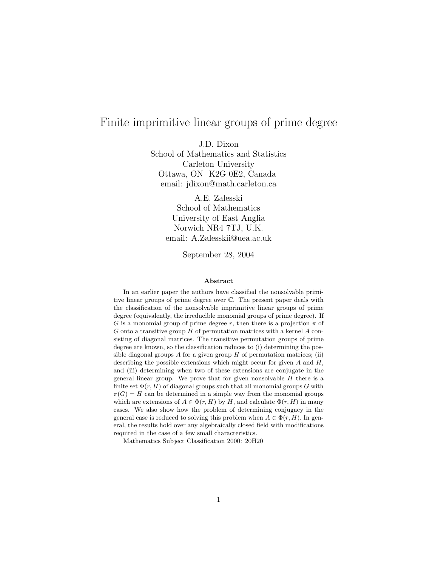# Finite imprimitive linear groups of prime degree

J.D. Dixon

School of Mathematics and Statistics Carleton University Ottawa, ON K2G 0E2, Canada email: jdixon@math.carleton.ca

> A.E. Zalesski School of Mathematics University of East Anglia Norwich NR4 7TJ, U.K. email: A.Zalesskii@uea.ac.uk

> > September 28, 2004

#### Abstract

In an earlier paper the authors have classified the nonsolvable primitive linear groups of prime degree over C. The present paper deals with the classification of the nonsolvable imprimitive linear groups of prime degree (equivalently, the irreducible monomial groups of prime degree). If G is a monomial group of prime degree r, then there is a projection  $\pi$  of  $G$  onto a transitive group  $H$  of permutation matrices with a kernel  $A$  consisting of diagonal matrices. The transitive permutation groups of prime degree are known, so the classification reduces to (i) determining the possible diagonal groups A for a given group  $H$  of permutation matrices; (ii) describing the possible extensions which might occur for given  $A$  and  $H$ , and (iii) determining when two of these extensions are conjugate in the general linear group. We prove that for given nonsolvable  $H$  there is a finite set  $\Phi(r, H)$  of diagonal groups such that all monomial groups G with  $\pi(G) = H$  can be determined in a simple way from the monomial groups which are extensions of  $A \in \Phi(r, H)$  by H, and calculate  $\Phi(r, H)$  in many cases. We also show how the problem of determining conjugacy in the general case is reduced to solving this problem when  $A \in \Phi(r, H)$ . In general, the results hold over any algebraically closed field with modifications required in the case of a few small characteristics.

Mathematics Subject Classification 2000: 20H20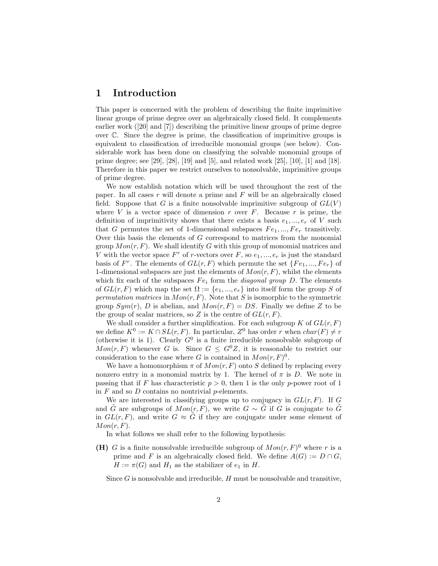## 1 Introduction

This paper is concerned with the problem of describing the finite imprimitive linear groups of prime degree over an algebraically closed field. It complements earlier work ([20] and [7]) describing the primitive linear groups of prime degree over C. Since the degree is prime, the classification of imprimitive groups is equivalent to classification of irreducible monomial groups (see below). Considerable work has been done on classifying the solvable monomial groups of prime degree; see [29], [28], [19] and [5], and related work [25], [10], [1] and [18]. Therefore in this paper we restrict ourselves to nonsolvable, imprimitive groups of prime degree.

We now establish notation which will be used throughout the rest of the paper. In all cases  $r$  will denote a prime and  $F$  will be an algebraically closed field. Suppose that G is a finite nonsolvable imprimitive subgroup of  $GL(V)$ where  $V$  is a vector space of dimension  $r$  over  $F$ . Because  $r$  is prime, the definition of imprimitivity shows that there exists a basis  $e_1, ..., e_r$  of V such that G permutes the set of 1-dimensional subspaces  $Fe_1, ..., Fe_r$  transitively. Over this basis the elements of G correspond to matrices from the monomial group  $Mon(r, F)$ . We shall identify G with this group of monomial matrices and V with the vector space  $F^r$  of r-vectors over  $F$ , so  $e_1, ..., e_r$  is just the standard basis of  $F^r$ . The elements of  $GL(r, F)$  which permute the set  $\{Fe_1, ..., Fe_r\}$  of 1-dimensional subspaces are just the elements of  $Mon(r, F)$ , whilst the elements which fix each of the subspaces  $Fe<sub>i</sub>$  form the *diagonal group* D. The elements of  $GL(r, F)$  which map the set  $\Omega := \{e_1, ..., e_r\}$  into itself form the group S of permutation matrices in  $Mon(r, F)$ . Note that S is isomorphic to the symmetric group  $Sym(r)$ , D is abelian, and  $Mon(r, F) = DS$ . Finally we define Z to be the group of scalar matrices, so Z is the centre of  $GL(r, F)$ .

We shall consider a further simplification. For each subgroup  $K$  of  $GL(r, F)$ we define  $K^0 := K \cap SL(r, F)$ . In particular,  $Z^0$  has order r when  $char(F) \neq r$ (otherwise it is 1). Clearly  $G^0$  is a finite irreducible nonsolvable subgroup of  $Mon(r, F)$  whenever G is. Since  $G \leq G^0 Z$ , it is reasonable to restrict our consideration to the case where G is contained in  $Mon(r, F)^{0}$ .

We have a homomorphism  $\pi$  of  $Mon(r, F)$  onto S defined by replacing every nonzero entry in a monomial matrix by 1. The kernel of  $\pi$  is D. We note in passing that if F has characteristic  $p > 0$ , then 1 is the only p-power root of 1 in  $F$  and so  $D$  contains no nontrivial  $p$ -elements.

We are interested in classifying groups up to conjugacy in  $GL(r, F)$ . If G and G are subgroups of  $Mon(r, F)$ , we write  $G \sim G$  if G is conjugate to G in  $GL(r, F)$ , and write  $G \approx \tilde{G}$  if they are conjugate under some element of  $Mon(r, F).$ 

In what follows we shall refer to the following hypothesis:

(H) G is a finite nonsolvable irreducible subgroup of  $Mon(r, F)^0$  where r is a prime and F is an algebraically closed field. We define  $A(G) := D \cap G$ ,  $H := \pi(G)$  and  $H_1$  as the stabilizer of  $e_1$  in H.

Since  $G$  is nonsolvable and irreducible,  $H$  must be nonsolvable and transitive,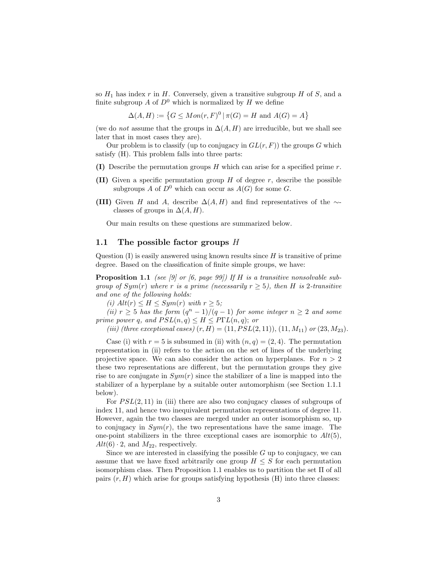so  $H_1$  has index r in H. Conversely, given a transitive subgroup H of S, and a finite subgroup A of  $D^0$  which is normalized by H we define

 $\Delta(A, H) := \{ G \leq Mon(r, F)^0 \mid \pi(G) = H \text{ and } A(G) = A \}$ 

(we do *not* assume that the groups in  $\Delta(A, H)$  are irreducible, but we shall see later that in most cases they are).

Our problem is to classify (up to conjugacy in  $GL(r, F)$ ) the groups G which satisfy (H). This problem falls into three parts:

- (I) Describe the permutation groups  $H$  which can arise for a specified prime  $r$ .
- (II) Given a specific permutation group  $H$  of degree  $r$ , describe the possible subgroups A of  $D^0$  which can occur as  $A(G)$  for some G.
- (III) Given H and A, describe  $\Delta(A, H)$  and find representatives of the  $\sim$ classes of groups in  $\Delta(A, H)$ .

Our main results on these questions are summarized below.

#### 1.1 The possible factor groups  $H$

Question  $(I)$  is easily answered using known results since  $H$  is transitive of prime degree. Based on the classification of finite simple groups, we have:

**Proposition 1.1** (see [9] or [6, page 99]) If H is a transitive nonsolvable subgroup of  $Sym(r)$  where r is a prime (necessarily  $r \geq 5$ ), then H is 2-transitive and one of the following holds:

(i)  $Alt(r) \leq H \leq Sym(r)$  with  $r \geq 5$ ;

(ii)  $r \geq 5$  has the form  $(q^n - 1)/(q - 1)$  for some integer  $n \geq 2$  and some prime power q, and  $PSL(n,q) \leq H \leq P\Gamma L(n,q)$ ; or

(iii) (three exceptional cases)  $(r, H) = (11, PSL(2, 11)), (11, M_{11})$  or  $(23, M_{23})$ .

Case (i) with  $r = 5$  is subsumed in (ii) with  $(n, q) = (2, 4)$ . The permutation representation in (ii) refers to the action on the set of lines of the underlying projective space. We can also consider the action on hyperplanes. For  $n > 2$ these two representations are different, but the permutation groups they give rise to are conjugate in  $Sym(r)$  since the stabilizer of a line is mapped into the stabilizer of a hyperplane by a suitable outer automorphism (see Section 1.1.1 below).

For  $PSL(2, 11)$  in (iii) there are also two conjugacy classes of subgroups of index 11, and hence two inequivalent permutation representations of degree 11. However, again the two classes are merged under an outer isomorphism so, up to conjugacy in  $Sym(r)$ , the two representations have the same image. The one-point stabilizers in the three exceptional cases are isomorphic to  $Alt(5)$ ,  $Alt(6) \cdot 2$ , and  $M_{22}$ , respectively.

Since we are interested in classifying the possible  $G$  up to conjugacy, we can assume that we have fixed arbitrarily one group  $H \leq S$  for each permutation isomorphism class. Then Proposition 1.1 enables us to partition the set Π of all pairs  $(r, H)$  which arise for groups satisfying hypothesis  $(H)$  into three classes: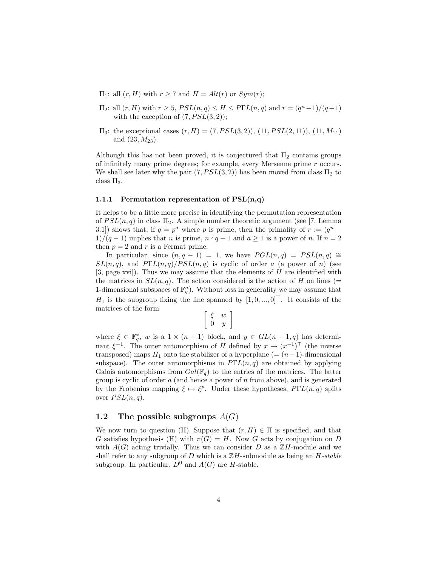- $\Pi_1$ : all  $(r, H)$  with  $r \geq 7$  and  $H = Alt(r)$  or  $Sym(r)$ ;
- $\Pi_2$ : all  $(r, H)$  with  $r \geq 5$ ,  $PSL(n, q) \leq H \leq P\Gamma L(n, q)$  and  $r = \frac{q^n 1}{q 1}$ with the exception of  $(7, PSL(3, 2))$ ;
- $\Pi_3$ : the exceptional cases  $(r, H) = (7, PSL(3, 2)), (11, PSL(2, 11)), (11, M<sub>11</sub>)$ and  $(23, M_{23})$ .

Although this has not been proved, it is conjectured that  $\Pi_2$  contains groups of infinitely many prime degrees; for example, every Mersenne prime r occurs. We shall see later why the pair  $(7, PSL(3, 2))$  has been moved from class  $\Pi_2$  to class  $\Pi_3$ .

#### 1.1.1 Permutation representation of  $PSL(n,q)$

It helps to be a little more precise in identifying the permutation representation of  $PSL(n, q)$  in class  $\Pi_2$ . A simple number theoretic argument (see [7, Lemma 3.1]) shows that, if  $q = p^a$  where p is prime, then the primality of  $r := (q^n - q)$  $1)/(q-1)$  implies that n is prime,  $n \nmid q-1$  and  $a \geq 1$  is a power of n. If  $n = 2$ then  $p = 2$  and r is a Fermat prime.

In particular, since  $(n, q - 1) = 1$ , we have  $PGL(n, q) = PSL(n, q) \cong$  $SL(n,q)$ , and  $P\Gamma L(n,q)/PSL(n,q)$  is cyclic of order a (a power of n) (see [3, page xvi]). Thus we may assume that the elements of  $H$  are identified with the matrices in  $SL(n, q)$ . The action considered is the action of H on lines (= 1-dimensional subspaces of  $\mathbb{F}_q^n$ ). Without loss in generality we may assume that  $H_1$  is the subgroup fixing the line spanned by  $\begin{bmatrix} 1,0,...,0 \end{bmatrix}^T$ . It consists of the matrices of the form

$$
\left[\begin{array}{cc} \xi & w \\ 0 & y \end{array}\right]
$$

where  $\xi \in \mathbb{F}_q^*$ , w is a  $1 \times (n-1)$  block, and  $y \in GL(n-1,q)$  has determinant  $\xi^{-1}$ . The outer automorphism of H defined by  $x \mapsto (x^{-1})^{\top}$  (the inverse transposed) maps  $H_1$  onto the stabilizer of a hyperplane (=  $(n-1)$ -dimensional subspace). The outer automorphisms in  $P\Gamma L(n,q)$  are obtained by applying Galois automorphisms from  $Gal(\mathbb{F}_q)$  to the entries of the matrices. The latter group is cyclic of order  $a$  (and hence a power of  $n$  from above), and is generated by the Frobenius mapping  $\xi \mapsto \xi^p$ . Under these hypotheses,  $P\Gamma L(n,q)$  splits over  $PSL(n, q)$ .

### 1.2 The possible subgroups  $A(G)$

We now turn to question (II). Suppose that  $(r, H) \in \Pi$  is specified, and that G satisfies hypothesis (H) with  $\pi(G) = H$ . Now G acts by conjugation on D with  $A(G)$  acting trivially. Thus we can consider D as a  $\mathbb{Z}H$ -module and we shall refer to any subgroup of  $D$  which is a  $\mathbb{Z}H$ -submodule as being an  $H$ -stable subgroup. In particular,  $D^0$  and  $A(G)$  are *H*-stable.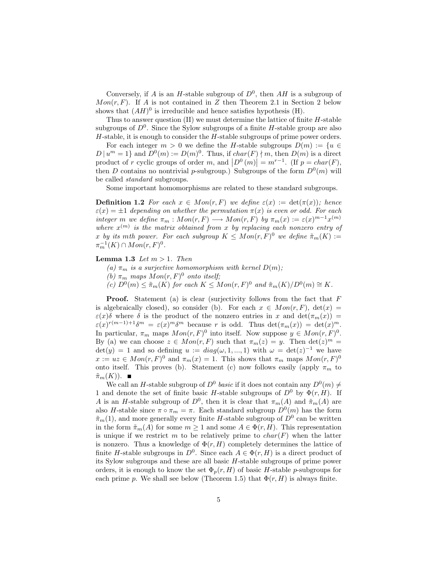Conversely, if A is an H-stable subgroup of  $D^0$ , then AH is a subgroup of  $Mon(r, F)$ . If A is not contained in Z then Theorem 2.1 in Section 2 below shows that  $(AH)^0$  is irreducible and hence satisfies hypothesis (H).

Thus to answer question  $(II)$  we must determine the lattice of finite  $H$ -stable subgroups of  $D^0$ . Since the Sylow subgroups of a finite H-stable group are also  $H$ -stable, it is enough to consider the  $H$ -stable subgroups of prime power orders.

For each integer  $m > 0$  we define the H-stable subgroups  $D(m) := \{u \in$  $D | u<sup>m</sup> = 1$  and  $D<sup>0</sup>(m) := D(m)<sup>0</sup>$ . Thus, if  $char(F) \nmid m$ , then  $D(m)$  is a direct product of r cyclic groups of order m, and  $\left|D^0(m)\right| = m^{r-1}$ . (If  $p = char(F)$ , then D contains no nontrivial p-subgroup.) Subgroups of the form  $D^0(m)$  will be called standard subgroups.

Some important homomorphisms are related to these standard subgroups.

**Definition 1.2** For each  $x \in Mon(r, F)$  we define  $\varepsilon(x) := \det(\pi(x))$ ; hence  $\varepsilon(x) = \pm 1$  depending on whether the permutation  $\pi(x)$  is even or odd. For each integer m we define  $\pi_m : Mon(r, F) \longrightarrow Mon(r, F)$  by  $\pi_m(x) := \varepsilon(x)^{m-1}x^{(m)}$ where  $x^{(m)}$  is the matrix obtained from x by replacing each nonzero entry of x by its mth power. For each subgroup  $K \leq Mon(r, F)^0$  we define  $\tilde{\pi}_m(K) :=$  $\pi_m^{-1}(K) \cap Mon(r, F)^0$ .

**Lemma 1.3** Let  $m > 1$ . Then

- (a)  $\pi_m$  is a surjective homomorphism with kernel  $D(m)$ ;
- (b)  $\pi_m$  maps  $Mon(r, F)^0$  onto itself;
- (c)  $D^0(m) \leq \tilde{\pi}_m(K)$  for each  $K \leq Mon(r, F)^0$  and  $\tilde{\pi}_m(K)/D^0(m) \cong K$ .

**Proof.** Statement (a) is clear (surjectivity follows from the fact that  $F$ is algebraically closed), so consider (b). For each  $x \in Mon(r, F)$ ,  $det(x) =$  $\varepsilon(x)\delta$  where  $\delta$  is the product of the nonzero entries in x and  $\det(\pi_m(x)) =$  $\varepsilon(x)^{r(m-1)+1}\delta^m = \varepsilon(x)^m\delta^m$  because r is odd. Thus  $\det(\pi_m(x)) = \det(x)^m$ . In particular,  $\pi_m$  maps  $Mon(r, F)^0$  into itself. Now suppose  $y \in Mon(r, F)^0$ . By (a) we can choose  $z \in Mon(r, F)$  such that  $\pi_m(z) = y$ . Then  $\det(z)^m =$  $\det(y) = 1$  and so defining  $u := diag(\omega, 1, ..., 1)$  with  $\omega = \det(z)^{-1}$  we have  $x := uz \in Mon(r, F)^0$  and  $\pi_m(x) = 1$ . This shows that  $\pi_m$  maps  $Mon(r, F)^0$ onto itself. This proves (b). Statement (c) now follows easily (apply  $\pi_m$  to  $\tilde{\pi}_m(K)$ ).  $\blacksquare$ 

We call an H-stable subgroup of  $D^0$  basic if it does not contain any  $D^0(m) \neq$ 1 and denote the set of finite basic H-stable subgroups of  $D^0$  by  $\Phi(r, H)$ . If A is an H-stable subgroup of  $D^0$ , then it is clear that  $\pi_m(A)$  and  $\tilde{\pi}_m(A)$  are also H-stable since  $\pi \circ \pi_m = \pi$ . Each standard subgroup  $D^0(m)$  has the form  $\tilde{\pi}_m(1)$ , and more generally every finite H-stable subgroup of  $D^0$  can be written in the form  $\tilde{\pi}_m(A)$  for some  $m \geq 1$  and some  $A \in \Phi(r, H)$ . This representation is unique if we restrict m to be relatively prime to  $char(F)$  when the latter is nonzero. Thus a knowledge of  $\Phi(r, H)$  completely determines the lattice of finite H-stable subgroups in  $D^0$ . Since each  $A \in \Phi(r, H)$  is a direct product of its Sylow subgroups and these are all basic H-stable subgroups of prime power orders, it is enough to know the set  $\Phi_p(r, H)$  of basic H-stable p-subgroups for each prime p. We shall see below (Theorem 1.5) that  $\Phi(r, H)$  is always finite.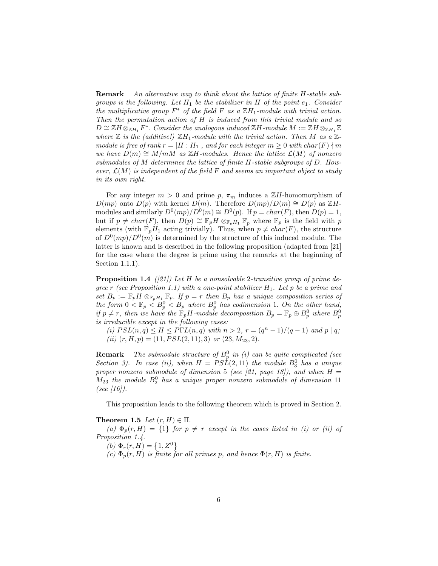Remark An alternative way to think about the lattice of finite H-stable subgroups is the following. Let  $H_1$  be the stabilizer in H of the point  $e_1$ . Consider the multiplicative group  $F^*$  of the field F as a  $\mathbb{Z}H_1$ -module with trivial action. Then the permutation action of H is induced from this trivial module and so  $D \cong \mathbb{Z} H \otimes_{\mathbb{Z} H_1} F^*$ . Consider the analogous induced  $\mathbb{Z} H$ -module  $M := \mathbb{Z} H \otimes_{\mathbb{Z} H_1} \mathbb{Z}$ where  $\mathbb Z$  is the (additive!)  $\mathbb ZH_1$ -module with the trivial action. Then M as a  $\mathbb Z$ module is free of rank  $r = |H : H_1|$ , and for each integer  $m \geq 0$  with char(F)  $\nmid m$ we have  $D(m) \cong M/mM$  as ZH-modules. Hence the lattice  $\mathcal{L}(M)$  of nonzero submodules of M determines the lattice of finite H-stable subgroups of D. However,  $\mathcal{L}(M)$  is independent of the field F and seems an important object to study in its own right.

For any integer  $m > 0$  and prime p,  $\pi_m$  induces a ZH-homomorphism of  $D(mp)$  onto  $D(p)$  with kernel  $D(m)$ . Therefore  $D(mp)/D(m) \cong D(p)$  as  $\mathbb{Z}H$ modules and similarly  $D^0(mp)/D^0(m) \cong D^0(p)$ . If  $p = char(F)$ , then  $D(p) = 1$ , but if  $p \neq char(F)$ , then  $D(p) \cong \mathbb{F}_pH \otimes_{\mathbb{F}_pH_1} \mathbb{F}_p$  where  $\mathbb{F}_p$  is the field with p elements (with  $\mathbb{F}_pH_1$  acting trivially). Thus, when  $p \neq char(F)$ , the structure of  $D^0(mp)/D^0(m)$  is determined by the structure of this induced module. The latter is known and is described in the following proposition (adapted from [21] for the case where the degree is prime using the remarks at the beginning of Section 1.1.1).

**Proposition 1.4** ([21]) Let H be a nonsolvable 2-transitive group of prime degree r (see Proposition 1.1) with a one-point stabilizer  $H_1$ . Let p be a prime and set  $B_p := \mathbb{F}_p H \otimes_{\mathbb{F}_p H_1} \mathbb{F}_p$ . If  $p = r$  then  $B_p$  has a unique composition series of the form  $0 < \mathbb{F}_p < B_p^0 < B_p$  where  $B_p^0$  has codimension 1. On the other hand, if  $p \neq r$ , then we have the  $\mathbb{F}_p H$ -module decomposition  $B_p = \mathbb{F}_p \oplus B_p^0$  where  $B_p^0$ is irreducible except in the following cases:

(i)  $PSL(n,q) \leq H \leq P\Gamma L(n,q)$  with  $n > 2$ ,  $r = (q^n - 1)/(q - 1)$  and  $p \mid q$ ; (ii)  $(r, H, p) = (11, PSL(2, 11), 3)$  or  $(23, M_{23}, 2)$ .

**Remark** The submodule structure of  $B_p^0$  in (i) can be quite complicated (see Section 3). In case (ii), when  $H = PSL(2, 11)$  the module  $B_3^0$  has a unique proper nonzero submodule of dimension 5 (see [21, page 18]), and when  $H =$  $M_{23}$  the module  $B_2^0$  has a unique proper nonzero submodule of dimension 11 (see  $[16]$ ).

This proposition leads to the following theorem which is proved in Section 2.

Theorem 1.5 Let  $(r, H) \in \Pi$ .

(a)  $\Phi_p(r,H) = \{1\}$  for  $p \neq r$  except in the cases listed in (i) or (ii) of Proposition 1.4.

(b)  $\Phi_r(r, H) = \{1, Z^0\}$ 

(c)  $\Phi_n(r, H)$  is finite for all primes p, and hence  $\Phi(r, H)$  is finite.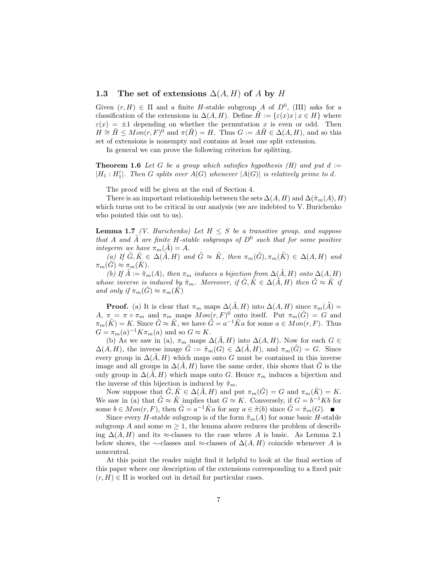## 1.3 The set of extensions  $\Delta(A, H)$  of A by H

Given  $(r, H) \in \Pi$  and a finite H-stable subgroup A of  $D^0$ , (III) asks for a classification of the extensions in  $\Delta(A, H)$ . Define  $H := \{\varepsilon(x)x \mid x \in H\}$  where  $\varepsilon(x) = \pm 1$  depending on whether the permutation x is even or odd. Then  $H \cong \tilde{H} \leq Mon(r, F)^{\tilde{0}}$  and  $\pi(\tilde{H}) = H$ . Thus  $G := A\tilde{H} \in \Delta(A, H)$ , and so this set of extensions is nonempty and contains at least one split extension.

In general we can prove the following criterion for splitting.

**Theorem 1.6** Let G be a group which satisfies hypothesis (H) and put  $d :=$  $|H_1: H'_1|$ . Then G splits over  $A(G)$  whenever  $|A(G)|$  is relatively prime to d.

The proof will be given at the end of Section 4.

There is an important relationship between the sets  $\Delta(A, H)$  and  $\Delta(\tilde{\pi}_m(A), H)$ which turns out to be critical in our analysis (we are indebted to V. Burichenko who pointed this out to us).

**Lemma 1.7** (*V. Burichenko*) Let  $H \leq S$  be a transitive group, and suppose that A and  $\tilde{A}$  are finite H-stable subgroups of  $D^0$  such that for some positive integerm we have  $\pi_m(\tilde{A}) = A$ .

(a) If  $\tilde{G}, \tilde{K} \in \Delta(\tilde{A}, H)$  and  $\tilde{G} \approx \tilde{K}$ , then  $\pi_m(\tilde{G}), \pi_m(\tilde{K}) \in \Delta(A, H)$  and  $\pi_m(G) \approx \pi_m(K)$ .

(b) If  $\tilde{A} := \tilde{\pi}_m(A)$ , then  $\pi_m$  induces a bijection from  $\Delta(\tilde{A}, H)$  onto  $\Delta(A, H)$ whose inverse is induced by  $\tilde{\pi}_m$ . Moreover, if  $\tilde{G}, \tilde{K} \in \Delta(\tilde{A}, H)$  then  $\tilde{G} \approx \tilde{K}$  if and only if  $\pi_m(\tilde{G}) \approx \pi_m(\tilde{K})$ 

**Proof.** (a) It is clear that  $\pi_m$  maps  $\Delta(\tilde{A}, H)$  into  $\Delta(A, H)$  since  $\pi_m(\tilde{A}) =$ A,  $\pi = \pi \circ \pi_m$  and  $\pi_m$  maps  $Mon(r, F)^0$  onto itself. Put  $\pi_m(\tilde{G}) = G$  and  $\pi_m(\tilde{K}) = K$ . Since  $\tilde{G} \approx \tilde{K}$ , we have  $\tilde{G} = a^{-1}\tilde{K}a$  for some  $a \in Mon(r, F)$ . Thus  $G = \pi_m(a)^{-1} K \pi_m(a)$  and so  $G \approx K$ .

(b) As we saw in (a),  $\pi_m$  maps  $\Delta(\tilde{A}, H)$  into  $\Delta(A, H)$ . Now for each  $G \in$  $\Delta(A, H)$ , the inverse image  $\tilde{G} := \tilde{\pi}_m(G) \in \Delta(\tilde{A}, H)$ , and  $\pi_m(\tilde{G}) = G$ . Since every group in  $\Delta(A, H)$  which maps onto G must be contained in this inverse image and all groups in  $\Delta(A, H)$  have the same order, this shows that G is the only group in  $\Delta(A, H)$  which maps onto G. Hence  $\pi_m$  induces a bijection and the inverse of this bijection is induced by  $\tilde{\pi}_m$ .

Now suppose that  $\tilde{G}, \tilde{K} \in \Delta(\tilde{A}, H)$  and put  $\pi_m(\tilde{G}) = G$  and  $\pi_m(\tilde{K}) = K$ . We saw in (a) that  $\tilde{G} \approx \tilde{K}$  implies that  $G \approx K$ . Conversely, if  $G = b^{-1}Kb$  for some  $b \in Mon(r, F)$ , then  $\tilde{G} = a^{-1} \tilde{K}a$  for any  $a \in \tilde{\pi}(b)$  since  $\tilde{G} = \tilde{\pi}_m(G)$ .

Since every H-stable subgroup is of the form  $\tilde{\pi}_m(A)$  for some basic H-stable subgroup A and some  $m \geq 1$ , the lemma above reduces the problem of describing  $\Delta(A, H)$  and its ≈-classes to the case where A is basic. As Lemma 2.1 below shows, the ∼-classes and ≈-classes of  $\Delta(A, H)$  coincide whenever A is noncentral.

At this point the reader might find it helpful to look at the final section of this paper where our description of the extensions corresponding to a fixed pair  $(r, H) \in \Pi$  is worked out in detail for particular cases.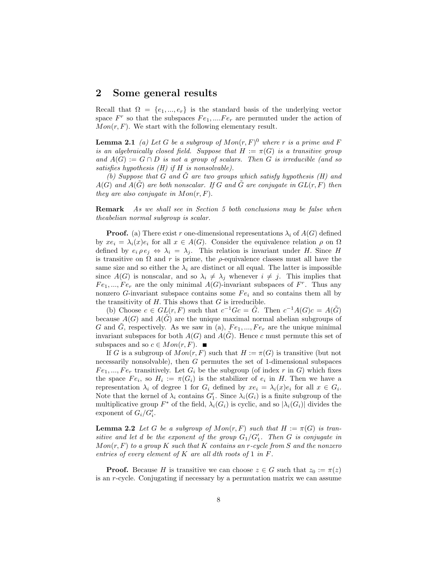## 2 Some general results

Recall that  $\Omega = \{e_1, ..., e_r\}$  is the standard basis of the underlying vector space  $F^r$  so that the subspaces  $Fe_1, \ldots, Fe_r$  are permuted under the action of  $Mon(r, F)$ . We start with the following elementary result.

**Lemma 2.1** (a) Let G be a subgroup of  $Mon(r, F)^{0}$  where r is a prime and F is an algebraically closed field. Suppose that  $H := \pi(G)$  is a transitive group and  $A(G) := G \cap D$  is not a group of scalars. Then G is irreducible (and so satisfies hypothesis  $(H)$  if  $H$  is nonsolvable).

(b) Suppose that G and  $\tilde{G}$  are two groups which satisfy hypothesis (H) and  $A(G)$  and  $A(\tilde{G})$  are both nonscalar. If G and  $\tilde{G}$  are conjugate in  $GL(r, F)$  then they are also conjugate in  $Mon(r, F)$ .

Remark As we shall see in Section 5 both conclusions may be false when theabelian normal subgroup is scalar.

**Proof.** (a) There exist r one-dimensional representations  $\lambda_i$  of  $A(G)$  defined by  $xe_i = \lambda_i(x)e_i$  for all  $x \in A(G)$ . Consider the equivalence relation  $\rho$  on  $\Omega$ defined by  $e_i \rho e_j \Leftrightarrow \lambda_i = \lambda_j$ . This relation is invariant under H. Since H is transitive on  $\Omega$  and  $r$  is prime, the  $\rho$ -equivalence classes must all have the same size and so either the  $\lambda_i$  are distinct or all equal. The latter is impossible since  $A(G)$  is nonscalar, and so  $\lambda_i \neq \lambda_j$  whenever  $i \neq j$ . This implies that  $Fe_1, ..., Fe_r$  are the only minimal  $A(G)$ -invariant subspaces of  $F^r$ . Thus any nonzero G-invariant subspace contains some  $Fe<sub>i</sub>$  and so contains them all by the transitivity of  $H$ . This shows that  $G$  is irreducible.

(b) Choose  $c \in GL(r, F)$  such that  $c^{-1}Gc = \tilde{G}$ . Then  $c^{-1}A(G)c = A(\tilde{G})$ because  $A(G)$  and  $A(G)$  are the unique maximal normal abelian subgroups of G and G, respectively. As we saw in (a),  $Fe_1, ..., Fe_r$  are the unique minimal invariant subspaces for both  $A(G)$  and  $A(\tilde{G})$ . Hence c must permute this set of subspaces and so  $c \in Mon(r, F)$ .  $\blacksquare$ 

If G is a subgroup of  $Mon(r, F)$  such that  $H := \pi(G)$  is transitive (but not necessarily nonsolvable), then G permutes the set of 1-dimensional subspaces  $Fe_1, ..., Fe_r$  transitively. Let  $G_i$  be the subgroup (of index r in G) which fixes the space  $Fe_i$ , so  $H_i := \pi(G_i)$  is the stabilizer of  $e_i$  in H. Then we have a representation  $\lambda_i$  of degree 1 for  $G_i$  defined by  $xe_i = \lambda_i(x)e_i$  for all  $x \in G_i$ . Note that the kernel of  $\lambda_i$  contains  $G'_1$ . Since  $\lambda_i(G_i)$  is a finite subgroup of the multiplicative group  $F^*$  of the field,  $\lambda_i(G_i)$  is cyclic, and so  $|\lambda_i(G_i)|$  divides the exponent of  $G_i/G_i'$ .

**Lemma 2.2** Let G be a subgroup of  $Mon(r, F)$  such that  $H := \pi(G)$  is transitive and let d be the exponent of the group  $G_1/G'_1$ . Then G is conjugate in  $Mon(r, F)$  to a group K such that K contains an r-cycle from S and the nonzero entries of every element of K are all dth roots of 1 in F.

**Proof.** Because H is transitive we can choose  $z \in G$  such that  $z_0 := \pi(z)$ is an r-cycle. Conjugating if necessary by a permutation matrix we can assume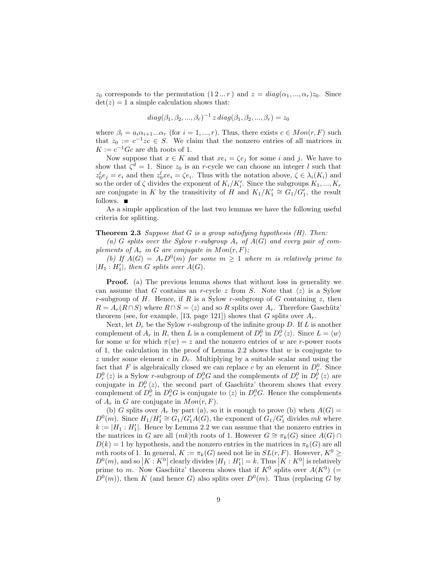$z_0$  corresponds to the permutation  $(1 2 ... r)$  and  $z = diag(\alpha_1, ..., \alpha_r)z_0$ . Since  $det(z) = 1$  a simple calculation shows that:

$$
diag(\beta_1, \beta_2, ..., \beta_r)^{-1} z diag(\beta_1, \beta_2, ..., \beta_r) = z_0
$$

where  $\beta_i = a_i \alpha_{i+1} \dots \alpha_r$  (for  $i = 1, ..., r$ ). Thus, there exists  $c \in Mon(r, F)$  such that  $z_0 := c^{-1}zc \in S$ . We claim that the nonzero entries of all matrices in  $K := c^{-1} G c$  are dth roots of 1.

Now suppose that  $x \in K$  and that  $xe_i = \zeta e_j$  for some i and j. We have to show that  $\zeta^d = 1$ . Since  $z_0$  is an r-cycle we can choose an integer l such that  $z_0^l e_j = e_i$  and then  $z_0^l x e_i = \zeta e_i$ . Thus with the notation above,  $\zeta \in \lambda_i(K_i)$  and so the order of  $\zeta$  divides the exponent of  $K_i/K_i'$ . Since the subgroups  $K_1, ..., K_r$ are conjugate in K by the transitivity of H and  $K_1/K'_1 \cong G_1/G'_1$ , the result follows.  $\blacksquare$ 

As a simple application of the last two lemmas we have the following useful criteria for splitting.

#### **Theorem 2.3** Suppose that G is a group satisfying hypothesis  $(H)$ . Then:

(a) G splits over the Sylow r-subgroup  $A_r$  of  $A(G)$  and every pair of complements of  $A_r$  in G are conjugate in  $Mon(r, F)$ ;

(b) If  $A(G) = A_r D^0(m)$  for some  $m \geq 1$  where m is relatively prime to  $|H_1: H'_1|$ , then G splits over  $A(G)$ .

Proof. (a) The previous lemma shows that without loss in generality we can assume that G contains an r-cycle z from S. Note that  $\langle z \rangle$  is a Sylow r-subgroup of H. Hence, if R is a Sylow r-subgroup of G containing z, then  $R = A_r(R \cap S)$  where  $R \cap S = \langle z \rangle$  and so R splits over  $A_r$ . Therefore Gaschütz' theorem (see, for example, [13, page 121]) shows that G splits over  $A_r$ .

Next, let  $D_r$  be the Sylow r-subgroup of the infinite group D. If L is another complement of  $A_r$  in R, then L is a complement of  $D_r^0$  in  $D_r^0 \langle z \rangle$ . Since  $L = \langle w \rangle$ for some w for which  $\pi(w) = z$  and the nonzero entries of w are r-power roots of 1, the calculation in the proof of Lemma 2.2 shows that  $w$  is conjugate to z under some element c in  $D_r$ . Multiplying by a suitable scalar and using the fact that F is algebraically closed we can replace c by an element in  $D_r^0$ . Since  $D_r^0 \langle z \rangle$  is a Sylow r-subgroup of  $D_r^0 G$  and the complements of  $D_r^0$  in  $D_r^0 \langle z \rangle$  are conjugate in  $D_r^0 \langle z \rangle$ , the second part of Gaschütz' theorem shows that every complement of  $D_r^0$  in  $D_r^0G$  is conjugate to  $\langle z \rangle$  in  $D_r^0G$ . Hence the complements of  $A_r$  in G are conjugate in  $Mon(r, F)$ .

(b) G splits over  $A_r$  by part (a), so it is enough to prove (b) when  $A(G)$  =  $D^0(m)$ . Since  $H_1/H_1' \cong G_1/G_1'A(G)$ , the exponent of  $G_1/G_1'$  divides mk where  $k := |H_1 : H_1'|$ . Hence by Lemma 2.2 we can assume that the nonzero entries in the matrices in G are all  $(mk)$ th roots of 1. However  $G \cong \pi_k(G)$  since  $A(G) \cap$  $D(k) = 1$  by hypothesis, and the nonzero entries in the matrices in  $\pi_k(G)$  are all mth roots of 1. In general,  $K := \pi_k(G)$  need not lie in  $SL(r, F)$ . However,  $K^0 \geq$  $D^{0}(m)$ , and so  $\left| K: K^{0} \right|$  clearly divides  $|H_1: H_1'| = k$ . Thus  $\left| K: K^{0} \right|$  is relatively prime to m. Now Gaschütz' theorem shows that if  $K^0$  splits over  $A(K^0)$  (=  $D^{0}(m)$ , then K (and hence G) also splits over  $D^{0}(m)$ . Thus (replacing G by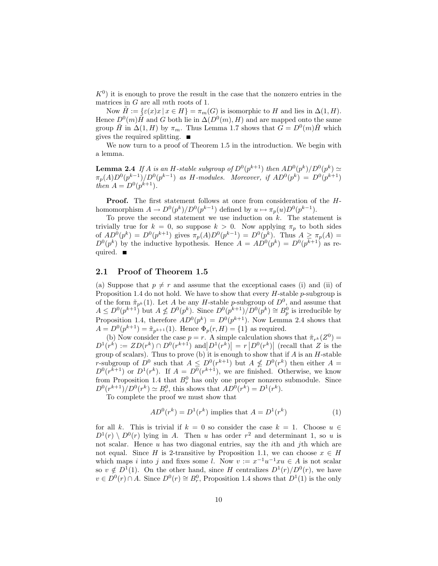$K^0$ ) it is enough to prove the result in the case that the nonzero entries in the matrices in G are all mth roots of 1.

Now  $H := \{ \varepsilon(x)x \mid x \in H \} = \pi_m(G)$  is isomorphic to H and lies in  $\Delta(1, H)$ . Hence  $D^{0}(m) \tilde{H}$  and G both lie in  $\Delta(D^{0}(m), H)$  and are mapped onto the same group  $\tilde{H}$  in  $\Delta(1,H)$  by  $\pi_m$ . Thus Lemma 1.7 shows that  $G = D^0(m)\tilde{H}$  which gives the required splitting.  $\blacksquare$ 

We now turn to a proof of Theorem 1.5 in the introduction. We begin with a lemma.

**Lemma 2.4** If A is an H-stable subgroup of  $D^0(p^{k+1})$  then  $AD^0(p^k)/D^0(p^k) \simeq$  $\pi_p(A)D^0(p^{k-1})/D^0(p^{k-1})$  as H-modules. Moreover, if  $AD^0(p^k) = D^0(p^{k+1})$ then  $A = D^{0}(p^{k+1}).$ 

Proof. The first statement follows at once from consideration of the Hhomomorphism  $A \to D^0(p^k)/D^0(p^{k-1})$  defined by  $u \mapsto \pi_p(u)D^0(p^{k-1})$ .

To prove the second statement we use induction on  $k$ . The statement is trivially true for  $k = 0$ , so suppose  $k > 0$ . Now applying  $\pi_p$  to both sides of  $AD^{0}(p^{k}) = D^{0}(p^{k+1})$  gives  $\pi_{p}(A)D^{0}(p^{k-1}) = D^{0}(p^{k})$ . Thus  $A \geq \pi_{p}(A) =$  $D^{0}(p^{k})$  by the inductive hypothesis. Hence  $A = AD^{0}(p^{k}) = D^{0}(p^{k+1})$  as required.  $\blacksquare$ 

## 2.1 Proof of Theorem 1.5

(a) Suppose that  $p \neq r$  and assume that the exceptional cases (i) and (ii) of Proposition 1.4 do not hold. We have to show that every  $H$ -stable  $p$ -subgroup is of the form  $\tilde{\pi}_{p^k}(1)$ . Let A be any H-stable p-subgroup of  $D^0$ , and assume that  $A \leq D^{0}(p^{k+1})$  but  $A \nleq D^{0}(p^{k})$ . Since  $D^{0}(p^{k+1})/D^{0}(p^{k}) \cong B_{p}^{0}$  is irreducible by Proposition 1.4, therefore  $AD^0(p^k) = D^0(p^{k+1})$ . Now Lemma 2.4 shows that  $A = D^{0}(p^{k+1}) = \tilde{\pi}_{p^{k+1}}(1)$ . Hence  $\Phi_p(r, H) = \{1\}$  as required.

(b) Now consider the case  $p = r$ . A simple calculation shows that  $\tilde{\pi}_{r^k}(Z^0) =$  $D^{1}(r^{k}) := ZD(r^{k}) \cap D^{0}(r^{k+1})$  and  $|D^{1}(r^{k})| = r |D^{0}(r^{k})|$  (recall that Z is the group of scalars). Thus to prove (b) it is enough to show that if  $A$  is an  $H$ -stable r-subgroup of  $D^0$  such that  $A \leq D^0(r^{k+1})$  but  $A \nleq D^0(r^k)$  then either  $A =$  $D^{0}(r^{k+1})$  or  $D^{1}(r^{k})$ . If  $A = D^{0}(r^{k+1})$ , we are finished. Otherwise, we know from Proposition 1.4 that  $B_r^0$  has only one proper nonzero submodule. Since  $D^{0}(r^{k+1})/D^{0}(r^{k}) \simeq B_{r}^{0}$ , this shows that  $AD^{0}(r^{k}) = D^{1}(r^{k})$ .

To complete the proof we must show that

$$
AD^{0}(r^{k}) = D^{1}(r^{k}) \text{ implies that } A = D^{1}(r^{k})
$$
\n
$$
(1)
$$

for all k. This is trivial if  $k = 0$  so consider the case  $k = 1$ . Choose  $u \in$  $D^1(r) \setminus D^0(r)$  lying in A. Then u has order  $r^2$  and determinant 1, so u is not scalar. Hence  $u$  has two diagonal entries, say the *i*th and *j*th which are not equal. Since H is 2-transitive by Proposition 1.1, we can choose  $x \in H$ which maps i into j and fixes some l. Now  $v := x^{-1}u^{-1}xu \in A$  is not scalar so  $v \notin D^1(1)$ . On the other hand, since H centralizes  $D^1(r)/D^0(r)$ , we have  $v \in D^0(r) \cap A$ . Since  $D^0(r) \cong B^0_r$ , Proposition 1.4 shows that  $D^1(1)$  is the only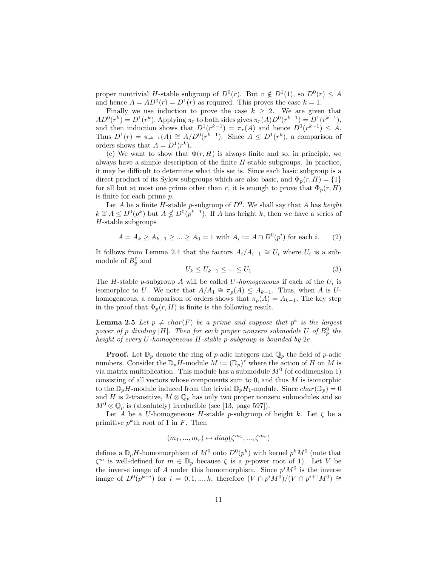proper nontrivial H-stable subgroup of  $D^0(r)$ . But  $v \notin D^1(1)$ , so  $D^0(r) \leq A$ and hence  $A = AD^0(r) = D^1(r)$  as required. This proves the case  $k = 1$ .

Finally we use induction to prove the case  $k \geq 2$ . We are given that  $AD^{0}(r^{k}) = D^{1}(r^{k}).$  Applying  $\pi_r$  to both sides gives  $\pi_r(A)D^{0}(r^{k-1}) = D^{1}(r^{k-1}),$ and then induction shows that  $D^1(r^{k-1}) = \pi_r(A)$  and hence  $D^0(r^{k-1}) \leq A$ . Thus  $D^1(r) = \pi_{r^{k-1}}(A) \cong A/D^0(r^{k-1})$ . Since  $A \leq D^1(r^k)$ , a comparison of orders shows that  $A = D^1(r^k)$ .

(c) We want to show that  $\Phi(r, H)$  is always finite and so, in principle, we always have a simple description of the finite H-stable subgroups. In practice, it may be difficult to determine what this set is. Since each basic subgroup is a direct product of its Sylow subgroups which are also basic, and  $\Phi_p(r, H) = \{1\}$ for all but at most one prime other than r, it is enough to prove that  $\Phi_p(r, H)$ is finite for each prime p.

Let A be a finite H-stable p-subgroup of  $D^0$ . We shall say that A has *height* k if  $A \leq D^{0}(p^{k})$  but  $A \nleq D^{0}(p^{k-1})$ . If A has height k, then we have a series of  $H$ -stable subgroups

$$
A = A_k \ge A_{k-1} \ge \dots \ge A_0 = 1 \text{ with } A_i := A \cap D^0(p^i) \text{ for each } i. \tag{2}
$$

It follows from Lemma 2.4 that the factors  $A_i/A_{i-1} \cong U_i$  where  $U_i$  is a submodule of  $B_p^0$  and

$$
U_k \le U_{k-1} \le \dots \le U_1 \tag{3}
$$

The H-stable p-subgroup A will be called U-homogeneous if each of the  $U_i$  is isomorphic to U. We note that  $A/A_1 \cong \pi_p(A) \leq A_{k-1}$ . Thus, when A is Uhomogeneous, a comparison of orders shows that  $\pi_p(A) = A_{k-1}$ . The key step in the proof that  $\Phi_p(r, H)$  is finite is the following result.

**Lemma 2.5** Let  $p \neq char(F)$  be a prime and suppose that  $p^e$  is the largest power of p dividing |H|. Then for each proper nonzero submodule U of  $B_p^0$  the height of every U-homogeneous H-stable p-subgroup is bounded by 2e.

**Proof.** Let  $\mathbb{D}_p$  denote the ring of p-adic integers and  $\mathbb{Q}_p$  the field of p-adic numbers. Consider the  $\mathbb{D}_p H$ -module  $M := (\mathbb{D}_p)^r$  where the action of H on M is via matrix multiplication. This module has a submodule  $M<sup>0</sup>$  (of codimension 1) consisting of all vectors whose components sum to 0, and thus  $M$  is isomorphic to the  $\mathbb{D}_pH$ -module induced from the trivial  $\mathbb{D}_pH_1$ -module. Since  $char(\mathbb{D}_p)=0$ and H is 2-transitive,  $M \otimes \mathbb{Q}_p$  has only two proper nonzero submodules and so  $M^0 \otimes \mathbb{Q}_p$  is (absolutely) irreducible (see [13, page 597]).

Let A be a U-homogeneous H-stable p-subgroup of height k. Let  $\zeta$  be a primitive  $p^k$ th root of 1 in F. Then

$$
(m_1, ..., m_r) \mapsto diag(\zeta^{m_1}, ..., \zeta^{m_r})
$$

defines a  $\mathbb{D}_p H$ -homomorphism of  $M^0$  onto  $D^0(p^k)$  with kernel  $p^k M^0$  (note that  $\zeta^m$  is well-defined for  $m \in \mathbb{D}_p$  because  $\zeta$  is a p-power root of 1). Let V be the inverse image of A under this homomorphism. Since  $p^i M^0$  is the inverse image of  $D^0(p^{k-i})$  for  $i = 0, 1, ..., k$ , therefore  $(V \cap p^i M^{\hat{0}})/(V \cap p^{i+1} M^0) \cong$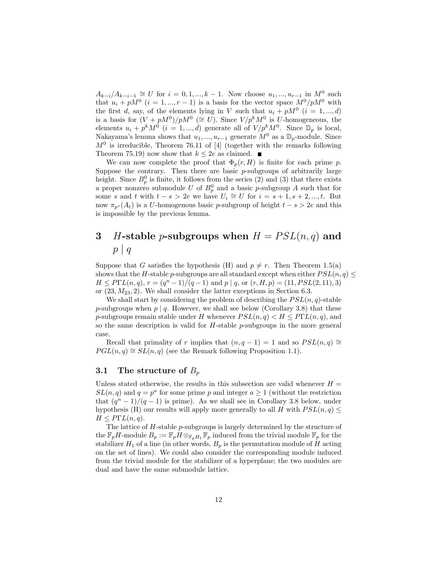$A_{k-i}/A_{k-i-1} \cong U$  for  $i = 0, 1, ..., k-1$ . Now choose  $u_1, ..., u_{r-1}$  in  $M^0$  such that  $u_i + pM^0$   $(i = 1, ..., r - 1)$  is a basis for the vector space  $M^0/pM^0$  with the first d, say, of the elements lying in V such that  $u_i + pM^0$   $(i = 1, ..., d)$ is a basis for  $(V + pM^0)/pM^0 \ (\cong U)$ . Since  $V/p^kM^0$  is U-homogeneous, the elements  $u_i + p^k M^0$   $(i = 1, ..., d)$  generate all of  $V/p^k M^0$ . Since  $\mathbb{D}_p$  is local, Nakayama's lemma shows that  $u_1, ..., u_{r-1}$  generate  $M^0$  as a  $\mathbb{D}_p$ -module. Since  $M<sup>0</sup>$  is irreducible, Theorem 76.11 of [4] (together with the remarks following Theorem 75.19) now show that  $k \leq 2e$  as claimed.

We can now complete the proof that  $\Phi_p(r, H)$  is finite for each prime p. Suppose the contrary. Then there are basic  $p$ -subgroups of arbitrarily large height. Since  $B_p^0$  is finite, it follows from the series (2) and (3) that there exists a proper nonzero submodule U of  $B_p^0$  and a basic p-subgroup A such that for some s and t with  $t - s > 2e$  we have  $U_i \cong U$  for  $i = s + 1, s + 2, ..., t$ . But now  $\pi_{n^s}(A_t)$  is a U-homogenous basic p-subgroup of height  $t - s > 2e$  and this is impossible by the previous lemma.

# 3 H-stable p-subgroups when  $H = PSL(n,q)$  and  $p \mid q$

Suppose that G satisfies the hypothesis (H) and  $p \neq r$ . Then Theorem 1.5(a) shows that the H-stable p-subgroups are all standard except when either  $PSL(n, q) \leq$  $H \leq P\Gamma L(n,q), r = (q^n - 1)/(q - 1)$  and  $p \mid q$ , or  $(r, H, p) = (11, PSL(2, 11), 3)$ or  $(23, M_{23}, 2)$ . We shall consider the latter exceptions in Section 6.3.

We shall start by considering the problem of describing the  $PSL(n, q)$ -stable p-subgroups when  $p \mid q$ . However, we shall see below (Corollary 3.8) that these p-subgroups remain stable under H whenever  $PSL(n, q) < H \leq P\Gamma L(n, q)$ , and so the same description is valid for  $H$ -stable  $p$ -subgroups in the more general case.

Recall that primality of r implies that  $(n, q - 1) = 1$  and so  $PSL(n, q) \cong$  $PGL(n, q) \cong SL(n, q)$  (see the Remark following Proposition 1.1).

## 3.1 The structure of  $B_p$

Unless stated otherwise, the results in this subsection are valid whenever  $H =$  $SL(n, q)$  and  $q = p^a$  for some prime p and integer  $a \ge 1$  (without the restriction that  $(q^{n} - 1)/(q - 1)$  is prime). As we shall see in Corollary 3.8 below, under hypothesis (H) our results will apply more generally to all H with  $PSL(n, q) \leq$  $H \leq P\Gamma L(n,q).$ 

The lattice of H-stable p-subgroups is largely determined by the structure of the  $\mathbb{F}_pH$ -module  $B_p := \mathbb{F}_pH \otimes_{\mathbb{F}_pH_1}\mathbb{F}_p$  induced from the trivial module  $\mathbb{F}_p$  for the stabilizer  $H_1$  of a line (in other words,  $B_p$  is the permutation module of H acting on the set of lines). We could also consider the corresponding module induced from the trivial module for the stabilizer of a hyperplane; the two modules are dual and have the same submodule lattice.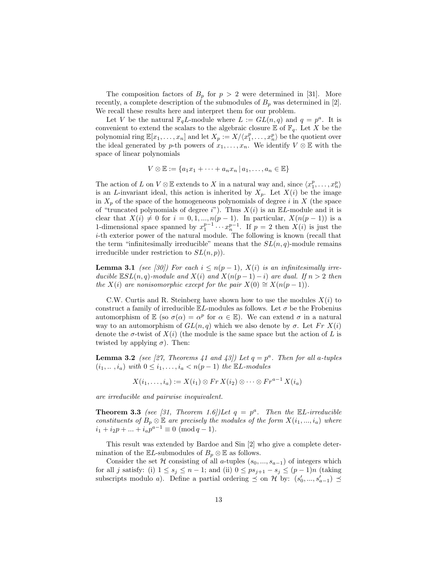The composition factors of  $B_p$  for  $p > 2$  were determined in [31]. More recently, a complete description of the submodules of  $B_p$  was determined in [2]. We recall these results here and interpret them for our problem.

Let V be the natural  $\mathbb{F}_q L$ -module where  $L := GL(n,q)$  and  $q = p^a$ . It is convenient to extend the scalars to the algebraic closure  $\mathbb E$  of  $\mathbb F_q$ . Let X be the polynomial ring  $\mathbb{E}[x_1,\ldots,x_n]$  and let  $X_p := X/\langle x_1^p,\ldots,x_n^p\rangle$  be the quotient over the ideal generated by p-th powers of  $x_1, \ldots, x_n$ . We identify  $V \otimes \mathbb{E}$  with the space of linear polynomials

$$
V \otimes \mathbb{E} := \{a_1x_1 + \cdots + a_nx_n \mid a_1, \ldots, a_n \in \mathbb{E}\}\
$$

The action of L on  $V \otimes \mathbb{E}$  extends to X in a natural way and, since  $\langle x_1^p, \ldots, x_n^p \rangle$ is an L-invariant ideal, this action is inherited by  $X_p$ . Let  $X(i)$  be the image in  $X_p$  of the space of the homogeneous polynomials of degree i in X (the space of "truncated polynomials of degree i"). Thus  $X(i)$  is an  $\mathbb{E}L$ -module and it is clear that  $X(i) \neq 0$  for  $i = 0, 1, ..., n(p - 1)$ . In particular,  $X(n(p - 1))$  is a 1-dimensional space spanned by  $x_1^{p-1} \cdots x_n^{p-1}$ . If  $p = 2$  then  $X(i)$  is just the i-th exterior power of the natural module. The following is known (recall that the term "infinitesimally irreducible" means that the  $SL(n, q)$ -module remains irreducible under restriction to  $SL(n, p)$ ).

**Lemma 3.1** (see [30]) For each  $i \leq n(p-1)$ ,  $X(i)$  is an infinitesimally irreducible  $\mathbb{E}SL(n,q)$ -module and  $X(i)$  and  $X(n(p-1) - i)$  are dual. If  $n > 2$  then the  $X(i)$  are nonisomorphic except for the pair  $X(0) \cong X(n(p-1))$ .

C.W. Curtis and R. Steinberg have shown how to use the modules  $X(i)$  to construct a family of irreducible  $\mathbb{E}L$ -modules as follows. Let  $\sigma$  be the Frobenius automorphism of  $\mathbb E$  (so  $\sigma(\alpha) = \alpha^p$  for  $\alpha \in \mathbb E$ ). We can extend  $\sigma$  in a natural way to an automorphism of  $GL(n, q)$  which we also denote by  $\sigma$ . Let  $Fr X(i)$ denote the  $\sigma$ -twist of  $X(i)$  (the module is the same space but the action of L is twisted by applying  $\sigma$ ). Then:

**Lemma 3.2** (see [27, Theorems 41 and 43]) Let  $q = p^a$ . Then for all a-tuples  $(i_1, \ldots, i_a)$  with  $0 \leq i_1, \ldots, i_a < n(p-1)$  the  $\mathbb{E}L$ -modules

$$
X(i_1,\ldots,i_a) := X(i_1) \otimes Fr X(i_2) \otimes \cdots \otimes Fr^{a-1} X(i_a)
$$

are irreducible and pairwise inequivalent.

**Theorem 3.3** (see [31, Theorem 1.6]) Let  $q = p^a$ . Then the  $\mathbb{E}L$ -irreducible constituents of  $B_p \otimes \mathbb{E}$  are precisely the modules of the form  $X(i_1, ..., i_a)$  where  $i_1 + i_2p + \dots + i_ap^{a-1} \equiv 0 \pmod{q-1}.$ 

This result was extended by Bardoe and Sin [2] who give a complete determination of the  $\mathbb{E}L$ -submodules of  $B_p \otimes \mathbb{E}$  as follows.

Consider the set H consisting of all a-tuples  $(s_0, ..., s_{a-1})$  of integers which for all j satisfy: (i)  $1 \leq s_j \leq n-1$ ; and (ii)  $0 \leq ps_{j+1} - s_j \leq (p-1)n$  (taking subscripts modulo a). Define a partial ordering  $\preceq$  on H by:  $(s'_0, ..., s'_{a-1}) \preceq$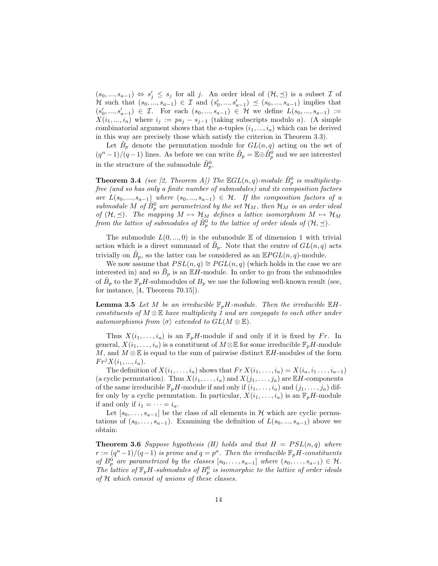$(s_0, ..., s_{a-1}) \Leftrightarrow s'_j \leq s_j$  for all j. An order ideal of  $(\mathcal{H}, \preceq)$  is a subset  $\mathcal I$  of *H* such that  $(s_0, ..., s_{a-1})$  ∈ *I* and  $(s'_0, ..., s'_{a-1})$  ≤  $(s_0, ..., s_{a-1})$  implies that  $(s'_0, ..., s'_{a-1}) \in \mathcal{I}$ . For each  $(s_0, ..., s_{a-1}) \in \mathcal{H}$  we define  $L(s_0, ..., s_{a-1}) :=$  $X(i_1, ..., i_a)$  where  $i_j := ps_j - s_{j-1}$  (taking subscripts modulo a). (A simple combinatorial argument shows that the a-tuples  $(i_1, ..., i_a)$  which can be derived in this way are precisely those which satisfy the criterion in Theorem 3.3).

Let  $\tilde{B}_p$  denote the permutation module for  $GL(n,q)$  acting on the set of  $(q^{n}-1)/(q-1)$  lines. As before we can write  $\tilde{B}_{p} = \mathbb{E} \oplus \tilde{B}_{p}^{0}$  and we are interested in the structure of the submodule  $\tilde{B}_p^0$ .

**Theorem 3.4** (see [2, Theorem A]) The  $\mathbb{E} GL(n,q)$ -module  $\tilde{B}_p^0$  is multiplicityfree (and so has only a finite number of submodules) and its composition factors are  $L(s_0, ..., s_{a-1})$  where  $(s_0, ..., s_{a-1}) \in \mathcal{H}$ . If the composition factors of a submodule M of  $\tilde{B}_p^0$  are parametrized by the set  $\mathcal{H}_M$ , then  $\mathcal{H}_M$  is an order ideal of  $(\mathcal{H}, \preceq)$ . The mapping  $M \mapsto \mathcal{H}_M$  defines a lattice isomorphism  $M \mapsto \mathcal{H}_M$ from the lattice of submodules of  $\tilde{B}^0_p$  to the lattice of order ideals of  $(\mathcal{H}, \preceq)$ .

The submodule  $L(0, ..., 0)$  is the submodule E of dimension 1 with trivial action which is a direct summand of  $\tilde{B}_p$ . Note that the centre of  $GL(n, q)$  acts trivially on  $\tilde{B}_p$ , so the latter can be considered as an  $\mathbb{E} PGL(n,q)$ -module.

We now assume that  $PSL(n, q) \cong PGL(n, q)$  (which holds in the case we are interested in) and so  $\tilde{B}_p$  is an  $\mathbb{E}[H]$ -module. In order to go from the submodules of  $\tilde{B}_p$  to the  $\mathbb{F}_pH$ -submodules of  $B_p$  we use the following well-known result (see, for instance,  $[4,$  Theorem 70.15]).

**Lemma 3.5** Let M be an irreducible  $\mathbb{F}_pH$ -module. Then the irreducible  $\mathbb{E}H$ constituents of  $M \otimes \mathbb{E}$  have multiplicity 1 and are conjugate to each other under automorphisms from  $\langle \sigma \rangle$  extended to  $GL(M \otimes \mathbb{E})$ .

Thus  $X(i_1, \ldots, i_a)$  is an  $\mathbb{F}_pH$ -module if and only if it is fixed by Fr. In general,  $X(i_1, \ldots, i_a)$  is a constituent of  $M \otimes \mathbb{E}$  for some irreducible  $\mathbb{F}_pH$ -module M, and  $M \otimes \mathbb{E}$  is equal to the sum of pairwise distinct  $\mathbb{E}H$ -modules of the form  $Fr^{\jmath}X(i_1, ..., i_a).$ 

The definition of  $X(i_1, \ldots, i_a)$  shows that  $Fr X(i_1, \ldots, i_a) = X(i_a, i_1, \ldots, i_{a-1})$ (a cyclic permutation). Thus  $X(i_1, \ldots, i_a)$  and  $X(j_1, \ldots, j_a)$  are  $\mathbb{E}H$ -components of the same irreducible  $\mathbb{F}_pH$ -module if and only if  $(i_1,\ldots,i_a)$  and  $(j_1,\ldots,j_a)$  differ only by a cyclic permutation. In particular,  $X(i_1, \ldots, i_a)$  is an  $\mathbb{F}_pH$ -module if and only if  $i_1 = \cdots = i_a$ .

Let  $[s_0, \ldots, s_{a-1}]$  be the class of all elements in H which are cyclic permutations of  $(s_0, \ldots, s_{a-1})$ . Examining the definition of  $L(s_0, \ldots, s_{a-1})$  above we obtain:

**Theorem 3.6** Suppose hypothesis (H) holds and that  $H = PSL(n,q)$  where  $r := (q^{n}-1)/(q-1)$  is prime and  $q = p^{a}$ . Then the irreducible  $\mathbb{F}_{p}H$ -constituents of  $B_p^0$  are parametrized by the classes  $[s_0, \ldots, s_{a-1}]$  where  $(s_0, \ldots, s_{a-1}) \in \mathcal{H}$ . The lattice of  $\mathbb{F}_pH$ -submodules of  $B_p^0$  is isomorphic to the lattice of order ideals of H which consist of unions of these classes.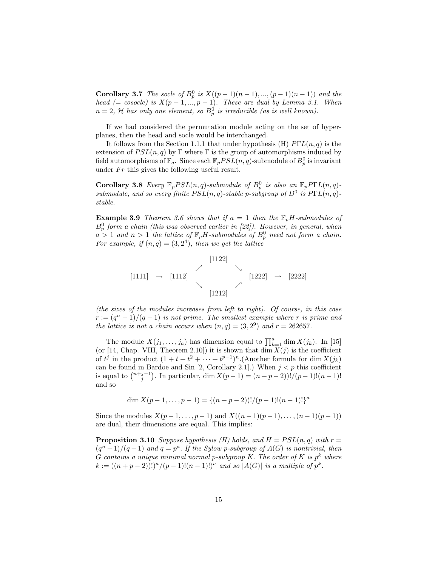**Corollary 3.7** The socle of  $B_p^0$  is  $X((p-1)(n-1), ..., (p-1)(n-1))$  and the head (= cosocle) is  $X(p-1,...,p-1)$ . These are dual by Lemma 3.1. When  $n=2, \mathcal{H}$  has only one element, so  $B_p^0$  is irreducible (as is well known).

If we had considered the permutation module acting on the set of hyperplanes, then the head and socle would be interchanged.

It follows from the Section 1.1.1 that under hypothesis (H)  $P\Gamma L(n,q)$  is the extension of  $PSL(n, q)$  by Γ where Γ is the group of automorphisms induced by field automorphisms of  $\mathbb{F}_q$ . Since each  $\mathbb{F}_pPSL(n,q)$ -submodule of  $B_p^0$  is invariant under  $Fr$  this gives the following useful result.

Corollary 3.8 Every  $\mathbb{F}_p PSL(n,q)$ -submodule of  $B_p^0$  is also an  $\mathbb{F}_p PPL(n,q)$ submodule, and so every finite  $PSL(n, q)$ -stable p-subgroup of  $D^0$  is  $P\Gamma L(n, q)$ stable.

**Example 3.9** Theorem 3.6 shows that if  $a = 1$  then the  $\mathbb{F}_pH$ -submodules of  $B_p^0$  form a chain (this was observed earlier in [22]). However, in general, when  $a > 1$  and  $n > 1$  the lattice of  $\mathbb{F}_p H$ -submodules of  $B_p^0$  need not form a chain. For example, if  $(n,q) = (3,2<sup>4</sup>)$ , then we get the lattice



(the sizes of the modules increases from left to right). Of course, in this case  $r := (q^{n}-1)/(q-1)$  is not prime. The smallest example where r is prime and the lattice is not a chain occurs when  $(n,q) = (3,2^9)$  and  $r = 262657$ .

The module  $X(j_1,\ldots,j_a)$  has dimension equal to  $\prod_{k=1}^a \dim X(j_k)$ . In [15] (or [14, Chap. VIII, Theorem 2.10]) it is shown that  $\dim X(j)$  is the coefficient of  $t^j$  in the product  $(1 + t + t^2 + \cdots + t^{p-1})^n$ . (Another formula for dim  $X(j_k)$ ) can be found in Bardoe and Sin [2, Corollary 2.1].) When  $j < p$  this coefficient is equal to  $\binom{n+j-1}{j}$ . In particular, dim  $X(p-1) = (n+p-2)!/(p-1)!(n-1)!$ and so

$$
\dim X(p-1,\ldots,p-1) = \{(n+p-2))!/(p-1)!(n-1)! \}^a
$$

Since the modules  $X(p-1, \ldots, p-1)$  and  $X((n-1)(p-1), \ldots, (n-1)(p-1))$ are dual, their dimensions are equal. This implies:

**Proposition 3.10** Suppose hypothesis (H) holds, and  $H = PSL(n, q)$  with  $r =$  $(q^{n}-1)/(q-1)$  and  $q=p^{a}$ . If the Sylow p-subgroup of  $A(G)$  is nontrivial, then G contains a unique minimal normal p-subgroup K. The order of K is  $p^k$  where  $k := ((n+p-2))!)^a / (p-1)!(n-1)!)^a$  and so  $|A(G)|$  is a multiple of  $p^k$ .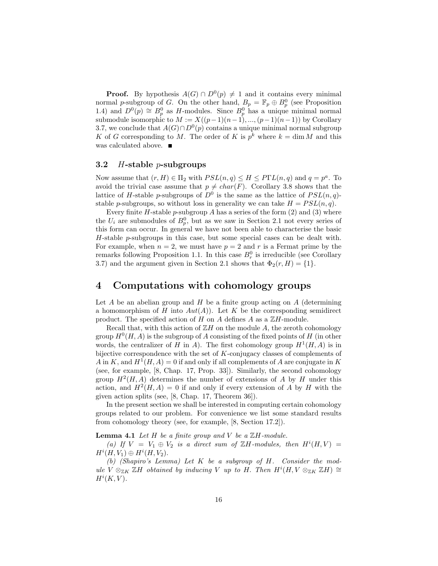**Proof.** By hypothesis  $A(G) \cap D^0(p) \neq 1$  and it contains every minimal normal p-subgroup of G. On the other hand,  $B_p = \mathbb{F}_p \oplus B_p^0$  (see Proposition 1.4) and  $D^0(p) \cong B_p^0$  as H-modules. Since  $B_p^0$  has a unique minimal normal submodule isomorphic to  $M := X((p-1)(n-1), ..., (p-1)(n-1))$  by Corollary 3.7, we conclude that  $A(G) \cap D^0(p)$  contains a unique minimal normal subgroup K of G corresponding to M. The order of K is  $p^k$  where  $k = \dim M$  and this was calculated above.

### 3.2  $H$ -stable *p*-subgroups

Now assume that  $(r, H) \in \Pi_2$  with  $PSL(n, q) \leq H \leq P\Gamma L(n, q)$  and  $q = p^a$ . To avoid the trivial case assume that  $p \neq char(F)$ . Corollary 3.8 shows that the lattice of H-stable p-subgroups of  $D^0$  is the same as the lattice of  $PSL(n, q)$ stable p-subgroups, so without loss in generality we can take  $H = PSL(n, q)$ .

Every finite  $H$ -stable p-subgroup A has a series of the form  $(2)$  and  $(3)$  where the  $U_i$  are submodules of  $B_p^0$ , but as we saw in Section 2.1 not every series of this form can occur. In general we have not been able to characterise the basic H-stable p-subgroups in this case, but some special cases can be dealt with. For example, when  $n = 2$ , we must have  $p = 2$  and r is a Fermat prime by the remarks following Proposition 1.1. In this case  $B_r^0$  is irreducible (see Corollary 3.7) and the argument given in Section 2.1 shows that  $\Phi_2(r, H) = \{1\}.$ 

## 4 Computations with cohomology groups

Let  $A$  be an abelian group and  $H$  be a finite group acting on  $A$  (determining a homomorphism of H into  $Aut(A)$ . Let K be the corresponding semidirect product. The specified action of H on A defines A as a  $\mathbb{Z}$ H-module.

Recall that, with this action of  $\mathbb{Z}H$  on the module A, the zeroth cohomology group  $H^0(H, A)$  is the subgroup of A consisting of the fixed points of H (in other words, the centralizer of H in A). The first cohomology group  $H^1(H, A)$  is in bijective correspondence with the set of K-conjugacy classes of complements of A in K, and  $H^1(H, A) = 0$  if and only if all complements of A are conjugate in K (see, for example, [8, Chap. 17, Prop. 33]). Similarly, the second cohomology group  $H^2(H, A)$  determines the number of extensions of A by H under this action, and  $H^2(H, A) = 0$  if and only if every extension of A by H with the given action splits (see, [8, Chap. 17, Theorem 36]).

In the present section we shall be interested in computing certain cohomology groups related to our problem. For convenience we list some standard results from cohomology theory (see, for example, [8, Section 17.2]).

#### **Lemma 4.1** Let H be a finite group and V be a  $\mathbb{Z}H$ -module.

(a) If  $V = V_1 \oplus V_2$  is a direct sum of ZH-modules, then  $H^{i}(H, V) =$  $H^i(H, V_1) \oplus H^i(H, V_2).$ 

(b) (Shapiro's Lemma) Let K be a subgroup of H. Consider the module  $V \otimes_{\mathbb{Z} K} \mathbb{Z} H$  obtained by inducing V up to H. Then  $H^{i}(H, V \otimes_{\mathbb{Z} K} \mathbb{Z} H) \cong$  $H^i(K, V)$ .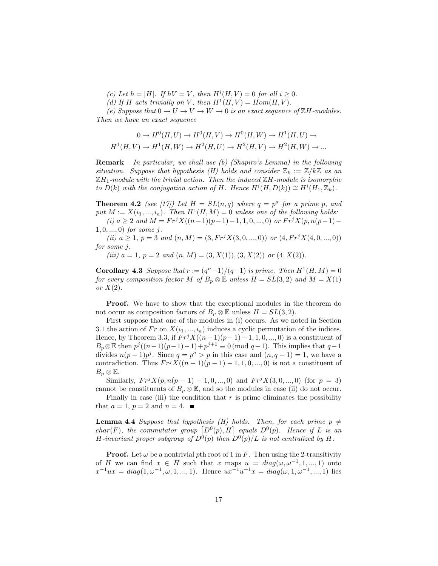- (c) Let  $h = |H|$ . If  $hV = V$ , then  $H^{i}(H, V) = 0$  for all  $i \geq 0$ .
- (d) If H acts trivially on V, then  $H^1(H, V) = Hom(H, V)$ .

(e) Suppose that  $0 \to U \to V \to W \to 0$  is an exact sequence of  $\mathbb{Z}H$ -modules. Then we have an exact sequence

$$
0 \to H^0(H, U) \to H^0(H, V) \to H^0(H, W) \to H^1(H, U) \to H^1(H, V) \to H^1(H, W) \to H^2(H, U) \to H^2(H, V) \to H^2(H, W) \to \dots
$$

Remark In particular, we shall use (b) (Shapiro's Lemma) in the following situation. Suppose that hypothesis (H) holds and consider  $\mathbb{Z}_k := \mathbb{Z}/k\mathbb{Z}$  as an  $\mathbb{Z}H_1$ -module with the trivial action. Then the induced  $\mathbb{Z}H$ -module is isomorphic to  $D(k)$  with the conjugation action of H. Hence  $H^{i}(H, D(k)) \cong H^{i}(H_1, \mathbb{Z}_k)$ .

**Theorem 4.2** (see [17]) Let  $H = SL(n,q)$  where  $q = p^a$  for a prime p, and put  $M := X(i_1, ..., i_a)$ . Then  $H^1(H, M) = 0$  unless one of the following holds: (i)  $a \geq 2$  and  $M = Fr^{j}X((n-1)(p-1)-1, 1, 0, ..., 0)$  or  $Fr^{j}X(p, n(p-1)-1)$ 

$$
1, 0, ..., 0
$$
 for some  $j$ .

(ii)  $a \geq 1$ ,  $p = 3$  and  $(n, M) = (3, Fr^{j}X(3, 0, ..., 0))$  or  $(4, Fr^{j}X(4, 0, ..., 0))$ for some j.

(iii)  $a = 1, p = 2$  and  $(n, M) = (3, X(1)), (3, X(2))$  or  $(4, X(2)).$ 

Corollary 4.3 Suppose that  $r := (q^n-1)/(q-1)$  is prime. Then  $H^1(H, M) = 0$ for every composition factor M of  $B_p \otimes \mathbb{E}$  unless  $H = SL(3, 2)$  and  $M = X(1)$ or  $X(2)$ .

Proof. We have to show that the exceptional modules in the theorem do not occur as composition factors of  $B_p \otimes \mathbb{E}$  unless  $H = SL(3, 2)$ .

First suppose that one of the modules in (i) occurs. As we noted in Section 3.1 the action of Fr on  $X(i_1, ..., i_a)$  induces a cyclic permutation of the indices. Hence, by Theorem 3.3, if  $Fr^{j}X((n-1)(p-1)-1, 1, 0, ..., 0)$  is a constituent of  $B_p \otimes \mathbb{E}$  then  $p^j((n-1)(p-1)-1)+p^{j+1} \equiv 0 \pmod{q-1}$ . This implies that  $q-1$ divides  $n(p-1)p^j$ . Since  $q = p^a > p$  in this case and  $(n, q-1) = 1$ , we have a contradiction. Thus  $Fr^{j}X((n-1)(p-1)-1,1,0,...,0)$  is not a constituent of  $B_p \otimes \mathbb{E}.$ 

Similarly,  $Fr^{j}X(p, n(p-1) - 1, 0, ..., 0)$  and  $Fr^{j}X(3, 0, ..., 0)$  (for  $p = 3$ ) cannot be constituents of  $B_p \otimes \mathbb{E}$ , and so the modules in case (ii) do not occur.

Finally in case (iii) the condition that  $r$  is prime eliminates the possibility that  $a = 1$ ,  $p = 2$  and  $n = 4$ .

**Lemma 4.4** Suppose that hypothesis (H) holds. Then, for each prime  $p \neq$ char(F), the commutator group  $[D^0(p), H]$  equals  $D^0(p)$ . Hence if L is an H-invariant proper subgroup of  $D^0(p)$  then  $D^0(p)/L$  is not centralized by H.

**Proof.** Let  $\omega$  be a nontrivial pth root of 1 in F. Then using the 2-transitivity of H we can find  $x \in H$  such that x maps  $u = diag(\omega, \omega^{-1}, 1, ..., 1)$  onto  $x^{-1}ux = diag(1, \omega^{-1}, \omega, 1, ..., 1)$ . Hence  $ux^{-1}u^{-1}x = diag(\omega, 1, \omega^{-1}, ..., 1)$  lies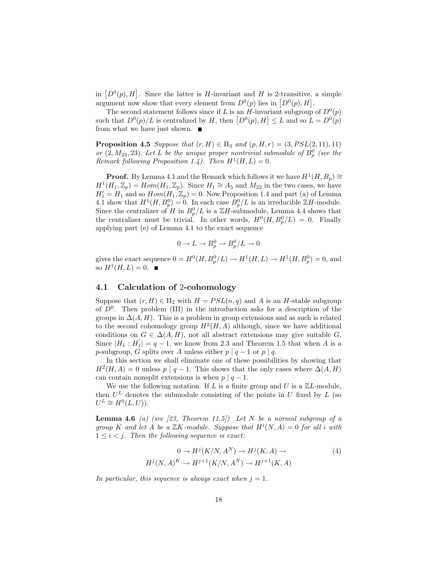in  $[D^0(p), H]$ . Since the latter is H-invariant and H is 2-transitive, a simple argument now show that every element from  $D^0(p)$  lies in  $[D^0(p), H]$ .

The second statement follows since if L is an H-invariant subgroup of  $D^0(p)$ such that  $D^0(p)/L$  is centralized by H, then  $[D^0(p), H] \leq L$  and so  $L = D^0(p)$ from what we have just shown.  $\blacksquare$ 

**Proposition 4.5** Suppose that  $(r, H) \in \Pi_3$  and  $(p, H, r) = (3, PSL(2, 11), 11)$ or  $(2, M_{23}, 23)$ . Let L be the unique proper nontrivial submodule of  $B_p^0$  (see the Remark following Proposition 1.4). Then  $H^1(H, L) = 0$ .

**Proof.** By Lemma 4.1 and the Remark which follows it we have  $H^1(H, B_p) \cong$  $H^1(H_1, \mathbb{Z}_p) = Hom(H_1, \mathbb{Z}_p)$ . Since  $H_1 \cong A_5$  and  $M_{22}$  in the two cases, we have  $H_1' = H_1$  and so  $Hom(H_1, \mathbb{Z}_p) = 0$ . Now Proposition 1.4 and part (a) of Lemma 4.1 show that  $H^1(H, B_p^0) = 0$ . In each case  $B_p^0/L$  is an irreducible  $\mathbb{Z}H$ -module. Since the centralizer of H in  $B_p^0/L$  is a  $\mathbb{Z}H$ -submodule, Lemma 4.4 shows that the centralizer must be trivial. In other words,  $H^0(H, B^0_p/L) = 0$ . Finally applying part (e) of Lemma 4.1 to the exact sequence

$$
0 \to L \to B_p^0 \to B_p^0/L \to 0
$$

gives the exact sequence  $0 = H^0(H, B_p^0/L) \to H^1(H, L) \to H^1(H, B_p^0) = 0$ , and so  $H^1(H, L) = 0$ .

## 4.1 Calculation of 2-cohomology

Suppose that  $(r, H) \in \Pi_2$  with  $H = PSL(n, q)$  and A is an H-stable subgroup of  $D^0$ . Then problem (III) in the introduction asks for a description of the groups in  $\Delta(A, H)$ . This is a problem in group extensions and as such is related to the second cohomology group  $H^2(H, A)$  although, since we have additional conditions on  $G \in \Delta(A, H)$ , not all abstract extensions may give suitable G. Since  $|H_1: H_1'| = q - 1$ , we know from 2.3 and Theorem 1.5 that when A is a p-subgroup, G splits over A unless either  $p | q - 1$  or  $p | q$ .

In this section we shall eliminate one of these possibilities by showing that  $H^2(H, A) = 0$  unless  $p | q - 1$ . This shows that the only cases where  $\Delta(A, H)$ can contain nonsplit extensions is when  $p \mid q-1$ .

We use the following notation. If L is a finite group and U is a  $\mathbb{Z}L$ -module, then  $U^L$  denotes the submodule consisting of the points in U fixed by L (so  $U^L \cong H^0(L, U)$ .

**Lemma 4.6** (a) (see [23, Theorem 11.5]) Let N be a normal subgroup of a group K and let A be a  $\mathbb{Z}K$ -module. Suppose that  $H^i(N, A) = 0$  for all i with  $1 \leq i \leq j$ . Then the following sequence is exact:

$$
0 \to H^j(K/N, A^N) \to H^j(K, A) \to
$$
  
\n
$$
H^j(N, A)^K \to H^{j+1}(K/N, A^N) \to H^{j+1}(K, A)
$$
\n(4)

In particular, this sequence is always exact when  $j = 1$ .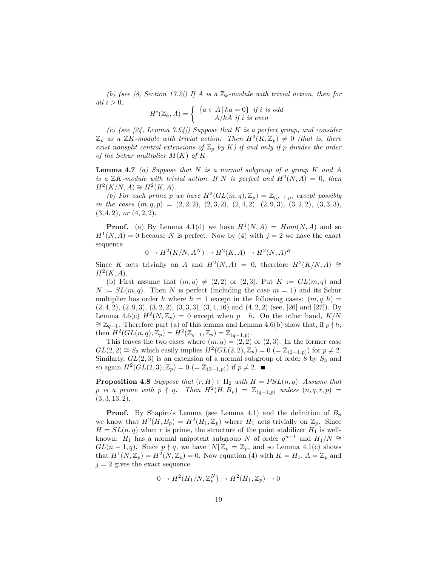(b) (see [8, Section 17.2]) If A is a  $\mathbb{Z}_k$ -module with trivial action, then for all  $i > 0$ :

$$
H^{i}(\mathbb{Z}_{k}, A) = \begin{cases} \{a \in A \, | \, ka = 0\} & \text{if } i \text{ is odd} \\ A/kA & \text{if } i \text{ is even} \end{cases}
$$

(c) (see [24, Lemma 7.64]) Suppose that K is a perfect group, and consider  $\mathbb{Z}_p$  as a  $\mathbb{Z}K$ -module with trivial action. Then  $H^2(K,\mathbb{Z}_p) \neq 0$  (that is, there exist nonsplit central extensions of  $\mathbb{Z}_p$  by K) if and only if p divides the order of the Schur multiplier  $M(K)$  of K.

**Lemma 4.7** (a) Suppose that  $N$  is a normal subgroup of a group  $K$  and  $A$ is a  $\mathbb{Z}K$ -module with trivial action. If N is perfect and  $H^2(N,A) = 0$ , then  $H^2(K/N, A) \cong H^2(K, A).$ 

(b) For each prime p we have  $H^2(GL(m, q), \mathbb{Z}_p) = \mathbb{Z}_{(q-1,p)}$  except possibly in the cases  $(m, q, p) = (2, 2, 2), (2, 3, 2), (2, 4, 2), (2, 9, 3), (3, 2, 2), (3, 3, 3),$  $(3, 4, 2), \text{ or } (4, 2, 2).$ 

**Proof.** (a) By Lemma 4.1(d) we have  $H^1(N, A) = Hom(N, A)$  and so  $H^1(N, A) = 0$  because N is perfect. Now by (4) with  $j = 2$  we have the exact sequence

$$
0 \to H^2(K/N, A^N) \to H^2(K, A) \to H^2(N, A)^K
$$

Since K acts trivially on A and  $H^2(N, A) = 0$ , therefore  $H^2(K/N, A) \cong$  $H^2(K, A)$ .

(b) First assume that  $(m, q) \neq (2, 2)$  or  $(2, 3)$ . Put  $K := GL(m, q)$  and  $N := SL(m, q)$ . Then N is perfect (including the case  $m = 1$ ) and its Schur multiplier has order h where  $h = 1$  except in the following cases:  $(m, q, h) =$  $(2, 4, 2), (2, 9, 3), (3, 2, 2), (3, 3, 3), (3, 4, 16) \text{ and } (4, 2, 2) \text{ (see, [26] and [27]). By}$ Lemma 4.6(c)  $H^2(N, \mathbb{Z}_p) = 0$  except when  $p \mid h$ . On the other hand,  $K/N$  $\cong \mathbb{Z}_{q-1}$ . Therefore part (a) of this lemma and Lemma 4.6(b) show that, if  $p \nmid h$ , then  $H^2(GL(n, q), \mathbb{Z}_p) = H^2(\mathbb{Z}_{q-1}, \mathbb{Z}_p) = \mathbb{Z}_{(q-1,p)}.$ 

This leaves the two cases where  $(m, q) = (2, 2)$  or  $(2, 3)$ . In the former case  $GL(2, 2) \cong S_3$  which easily implies  $H^2(\widetilde{GL}(2, 2), \mathbb{Z}_p) = 0$  (=  $\mathbb{Z}_{(2-1,p)}$ ) for  $p \neq 2$ . Similarly,  $GL(2,3)$  is an extension of a normal subgroup of order 8 by  $S_3$  and so again  $H^2(GL(2,3),\mathbb{Z}_p)=0$   $(=\mathbb{Z}_{(3-1,p)})$  if  $p\neq 2$ .

**Proposition 4.8** Suppose that  $(r, H) \in \Pi_2$  with  $H = PSL(n, q)$ . Assume that p is a prime with  $p \nmid q$ . Then  $H^2(H, B_p) = \mathbb{Z}_{(q-1,p)}$  unless  $(n, q, r, p) =$  $(3, 3, 13, 2).$ 

**Proof.** By Shapiro's Lemma (see Lemma 4.1) and the definition of  $B_p$ we know that  $H^2(H, B_p) = H^2(H_1, \mathbb{Z}_p)$  where  $H_1$  acts trivially on  $\mathbb{Z}_p$ . Since  $H = SL(n, q)$  when r is prime, the structure of the point stabilizer  $H_1$  is wellknown:  $H_1$  has a normal unipotent subgroup N of order  $q^{n-1}$  and  $H_1/N \cong$  $GL(n-1,q)$ . Since  $p \nmid q$ , we have  $|N|\mathbb{Z}_p = \mathbb{Z}_p$ , and so Lemma 4.1(c) shows that  $H^1(N, \mathbb{Z}_p) = H^2(N, \mathbb{Z}_p) = 0$ . Now equation (4) with  $K = H_1, A = \mathbb{Z}_p$  and  $j = 2$  gives the exact sequence

$$
0 \to H^2(H_1/N, \mathbb{Z}_p^N) \to H^2(H_1, \mathbb{Z}_p) \to 0
$$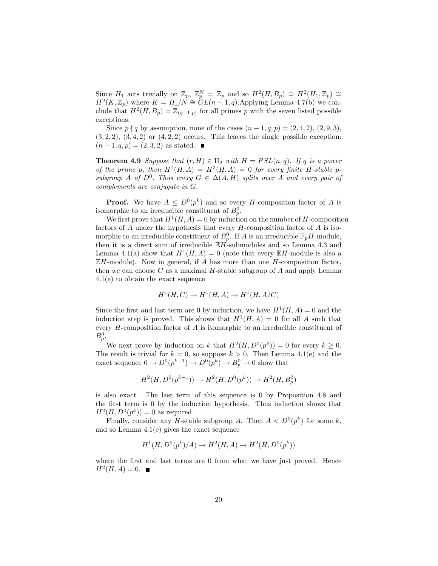Since  $H_1$  acts trivially on  $\mathbb{Z}_p$ ,  $\mathbb{Z}_p^N = \mathbb{Z}_p$  and so  $H^2(H, B_p) \cong H^2(H_1, \mathbb{Z}_p) \cong$  $H^2(K,\mathbb{Z}_p)$  where  $K = H_1/N \cong GL(n-1,q)$ . Applying Lemma 4.7(b) we conclude that  $H^2(H, B_p) = \mathbb{Z}_{(q-1,p)}$  for all primes p with the seven listed possible exceptions.

Since  $p \nmid q$  by assumption, none of the cases  $(n-1, q, p) = (2, 4, 2), (2, 9, 3),$  $(3, 2, 2), (3, 4, 2)$  or  $(4, 2, 2)$  occurs. This leaves the single possible exception:  $(n-1, q, p) = (2, 3, 2)$  as stated.  $\blacksquare$ 

**Theorem 4.9** Suppose that  $(r, H) \in \Pi_2$  with  $H = PSL(n, q)$ . If q is a power of the prime p, then  $H^1(H, A) = H^2(H, A) = 0$  for every finite H-stable psubgroup A of  $D^0$ . Thus every  $G \in \Delta(A, H)$  splits over A and every pair of complements are conjugate in G.

**Proof.** We have  $A \leq D^0(p^k)$  and so every H-composition factor of A is isomorphic to an irreducible constituent of  $B_p^0$ .

We first prove that  $H^1(H, A) = 0$  by induction on the number of H-composition factors of  $A$  under the hypothesis that every  $H$ -composition factor of  $A$  is isomorphic to an irreducible constituent of  $B_p^0$ . If A is an irreducible  $\mathbb{F}_pH$ -module, then it is a direct sum of irreducible  $\mathbb{E} H$ -submodules and so Lemma 4.3 and Lemma 4.1(a) show that  $H^1(H, A) = 0$  (note that every  $\mathbb{E}H$ -module is also a  $\mathbb{Z}$ H-module). Now in general, if A has more than one H-composition factor, then we can choose  $C$  as a maximal  $H$ -stable subgroup of  $A$  and apply Lemma 4.1(e) to obtain the exact sequence

$$
H^1(H, C) \to H^1(H, A) \to H^1(H, A/C)
$$

Since the first and last term are 0 by induction, we have  $H^1(H, A) = 0$  and the induction step is proved. This shows that  $H^1(H, A) = 0$  for all A such that every H-composition factor of A is isomorphic to an irreducible constituent of  $B_p^0$ .

We next prove by induction on k that  $H^2(H, D^0(p^k)) = 0$  for every  $k \geq 0$ . The result is trivial for  $k = 0$ , so suppose  $k > 0$ . Then Lemma 4.1(e) and the exact sequence  $0 \to D^0(p^{k-1}) \to D^0(p^k) \to B_p^0 \to 0$  show that

$$
H^2(H, D^0(p^{k-1})) \to H^2(H, D^0(p^k)) \to H^2(H, B_p^0)
$$

is also exact. The last term of this sequence is 0 by Proposition 4.8 and the first term is 0 by the induction hypothesis. Thus induction shows that  $H^2(H, D^0(p^k)) = 0$  as required.

Finally, consider any *H*-stable subgroup A. Then  $A < D^{0}(p^{k})$  for some k, and so Lemma 4.1(e) gives the exact sequence

$$
H^1(H, D^0(p^k)/A) \to H^2(H, A) \to H^2(H, D^0(p^k))
$$

where the first and last terms are 0 from what we have just proved. Hence  $H^2(H, A) = 0.$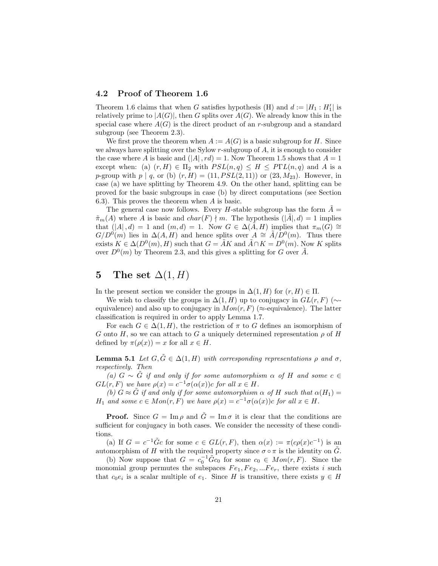### 4.2 Proof of Theorem 1.6

Theorem 1.6 claims that when G satisfies hypothesis (H) and  $d := |H_1 : H_1'|$  is relatively prime to  $|A(G)|$ , then G splits over  $A(G)$ . We already know this in the special case where  $A(G)$  is the direct product of an r-subgroup and a standard subgroup (see Theorem 2.3).

We first prove the theorem when  $A := A(G)$  is a basic subgroup for H. Since we always have splitting over the Sylow r-subgroup of A, it is enough to consider the case where A is basic and  $(|A|, rd) = 1$ . Now Theorem 1.5 shows that  $A = 1$ except when: (a)  $(r, H) \in \Pi_2$  with  $PSL(n, q) \leq H \leq P\Gamma L(n, q)$  and A is a p-group with  $p | q$ , or (b)  $(r, H) = (11, PSL(2, 11))$  or  $(23, M_{23})$ . However, in case (a) we have splitting by Theorem 4.9. On the other hand, splitting can be proved for the basic subgroups in case (b) by direct computations (see Section 6.3). This proves the theorem when A is basic.

The general case now follows. Every *H*-stable subgroup has the form  $\tilde{A} =$  $\tilde{\pi}_m(A)$  where A is basic and  $char(F) \nmid m$ . The hypothesis  $(|A|, d) = 1$  implies that  $(|A|, d) = 1$  and  $(m, d) = 1$ . Now  $G \in \Delta(\tilde{A}, H)$  implies that  $\pi_m(G) \cong$  $G/D^{0}(m)$  lies in  $\Delta(A, H)$  and hence splits over  $A \cong \tilde{A}/D^{0}(m)$ . Thus there exists  $K \in \Delta(D^0(m), H)$  such that  $G = \tilde{A}K$  and  $\tilde{A} \cap K = D^0(m)$ . Now K splits over  $D^0(m)$  by Theorem 2.3, and this gives a splitting for G over  $\tilde{A}$ .

## 5 The set  $\Delta(1, H)$

In the present section we consider the groups in  $\Delta(1, H)$  for  $(r, H) \in \Pi$ .

We wish to classify the groups in  $\Delta(1, H)$  up to conjugacy in  $GL(r, F)$  ( $\sim$ equivalence) and also up to conjugacy in  $Mon(r, F)$  ( $\approx$ -equivalence). The latter classification is required in order to apply Lemma 1.7.

For each  $G \in \Delta(1, H)$ , the restriction of  $\pi$  to G defines an isomorphism of G onto H, so we can attach to G a uniquely determined representation  $\rho$  of H defined by  $\pi(\rho(x)) = x$  for all  $x \in H$ .

**Lemma 5.1** Let  $G, \tilde{G} \in \Delta(1, H)$  with corresponding representations  $\rho$  and  $\sigma$ , respectively. Then

(a)  $G \sim \tilde{G}$  if and only if for some automorphism  $\alpha$  of H and some  $c \in$  $GL(r, F)$  we have  $\rho(x) = c^{-1}\sigma(\alpha(x))c$  for all  $x \in H$ .

(b)  $G \approx \tilde{G}$  if and only if for some automorphism  $\alpha$  of H such that  $\alpha(H_1)$  =  $H_1$  and some  $c \in Mon(r, F)$  we have  $\rho(x) = c^{-1}\sigma(\alpha(x))c$  for all  $x \in H$ .

**Proof.** Since  $G = \text{Im } \rho$  and  $\tilde{G} = \text{Im } \sigma$  it is clear that the conditions are sufficient for conjugacy in both cases. We consider the necessity of these conditions.

(a) If  $G = c^{-1}\tilde{G}c$  for some  $c \in GL(r, F)$ , then  $\alpha(x) := \pi(c\rho(x)c^{-1})$  is an automorphism of H with the required property since  $\sigma \circ \pi$  is the identity on  $\tilde{G}$ .

(b) Now suppose that  $G = c_0^{-1} \tilde{G} c_0$  for some  $c_0 \in Mon(r, F)$ . Since the monomial group permutes the subspaces  $Fe<sub>1</sub>, Fe<sub>2</sub>, ... Fe<sub>r</sub>$ , there exists i such that  $c_0e_i$  is a scalar multiple of  $e_1$ . Since H is transitive, there exists  $y \in H$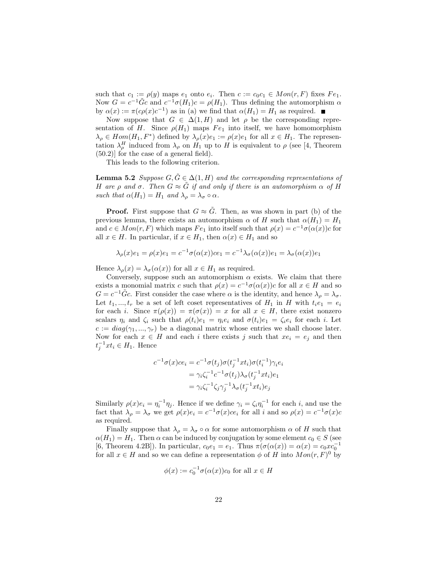such that  $c_1 := \rho(y)$  maps  $e_1$  onto  $e_i$ . Then  $c := c_0 c_1 \in Mon(r, F)$  fixes  $Fe_1$ . Now  $G = c^{-1}\tilde{G}c$  and  $c^{-1}\sigma(H_1)c = \rho(H_1)$ . Thus defining the automorphism  $\alpha$ by  $\alpha(x) := \pi(c\rho(x)c^{-1})$  as in (a) we find that  $\alpha(H_1) = H_1$  as required.

Now suppose that  $G \in \Delta(1, H)$  and let  $\rho$  be the corresponding representation of H. Since  $\rho(H_1)$  maps  $Fe_1$  into itself, we have homomorphism  $\lambda_{\rho} \in Hom(H_1, F^*)$  defined by  $\lambda_{\rho}(x)e_1 := \rho(x)e_1$  for all  $x \in H_1$ . The representation  $\lambda_{\rho}^H$  induced from  $\lambda_{\rho}$  on  $H_1$  up to H is equivalent to  $\rho$  (see [4, Theorem (50.2)] for the case of a general field).

This leads to the following criterion.

**Lemma 5.2** Suppose  $G, \tilde{G} \in \Delta(1, H)$  and the corresponding representations of H are ρ and σ. Then  $G \approx \tilde{G}$  if and only if there is an automorphism  $\alpha$  of H such that  $\alpha(H_1) = H_1$  and  $\lambda_\rho = \lambda_\sigma \circ \alpha$ .

**Proof.** First suppose that  $G \approx \tilde{G}$ . Then, as was shown in part (b) of the previous lemma, there exists an automorphism  $\alpha$  of H such that  $\alpha(H_1) = H_1$ and  $c \in Mon(r, F)$  which maps  $Fe_1$  into itself such that  $\rho(x) = c^{-1}\sigma(\alpha(x))c$  for all  $x \in H$ . In particular, if  $x \in H_1$ , then  $\alpha(x) \in H_1$  and so

$$
\lambda_{\rho}(x)e_1 = \rho(x)e_1 = c^{-1}\sigma(\alpha(x))ce_1 = c^{-1}\lambda_{\sigma}(\alpha(x))e_1 = \lambda_{\sigma}(\alpha(x))e_1
$$

Hence  $\lambda_{\rho}(x) = \lambda_{\sigma}(\alpha(x))$  for all  $x \in H_1$  as required.

Conversely, suppose such an automorphism  $\alpha$  exists. We claim that there exists a monomial matrix c such that  $\rho(x) = c^{-1}\sigma(\alpha(x))c$  for all  $x \in H$  and so  $G = c^{-1}\tilde{G}c$ . First consider the case where  $\alpha$  is the identity, and hence  $\lambda_{\rho} = \lambda_{\sigma}$ . Let  $t_1, ..., t_r$  be a set of left coset representatives of  $H_1$  in H with  $t_i e_1 = e_i$ for each i. Since  $\pi(\rho(x)) = \pi(\sigma(x)) = x$  for all  $x \in H$ , there exist nonzero scalars  $\eta_i$  and  $\zeta_i$  such that  $\rho(t_i)e_1 = \eta_i e_i$  and  $\sigma(t_i)e_1 = \zeta_i e_i$  for each i. Let  $c := diag(\gamma_1, ..., \gamma_r)$  be a diagonal matrix whose entries we shall choose later. Now for each  $x \in H$  and each i there exists j such that  $xe_i = e_j$  and then  $t_j^{-1}xt_i \in H_1$ . Hence

$$
c^{-1}\sigma(x)ce_i = c^{-1}\sigma(t_j)\sigma(t_j^{-1}xt_i)\sigma(t_i^{-1})\gamma_i e_i
$$
  
=  $\gamma_i \zeta_i^{-1} c^{-1} \sigma(t_j)\lambda_\sigma(t_j^{-1}xt_i)e_1$   
=  $\gamma_i \zeta_i^{-1} \zeta_j \gamma_j^{-1} \lambda_\sigma(t_j^{-1}xt_i)e_j$ 

Similarly  $\rho(x)e_i = \eta_i^{-1}\eta_j$ . Hence if we define  $\gamma_i = \zeta_i\eta_i^{-1}$  for each i, and use the fact that  $\lambda_{\rho} = \lambda_{\sigma}$  we get  $\rho(x)e_i = c^{-1}\sigma(x)ce_i$  for all i and so  $\rho(x) = c^{-1}\sigma(x)c_i$ as required.

Finally suppose that  $\lambda_{\rho} = \lambda_{\sigma} \circ \alpha$  for some automorphism  $\alpha$  of H such that  $\alpha(H_1) = H_1$ . Then  $\alpha$  can be induced by conjugation by some element  $c_0 \in S$  (see [6, Theorem 4.2B]). In particular,  $c_0e_1 = e_1$ . Thus  $\pi(\sigma(\alpha(x)) = \alpha(x) = c_0xe_0^{-1}$ for all  $x \in H$  and so we can define a representation  $\phi$  of H into  $Mon(r, F)^0$  by

$$
\phi(x) := c_0^{-1} \sigma(\alpha(x)) c_0 \text{ for all } x \in H
$$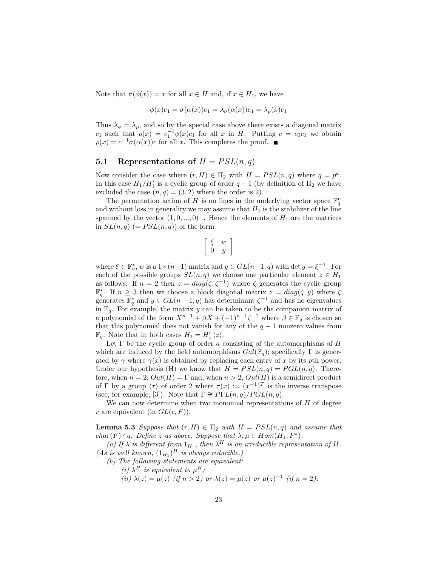Note that  $\pi(\phi(x)) = x$  for all  $x \in H$  and, if  $x \in H_1$ , we have

$$
\phi(x)e_1 = \sigma(\alpha(x))e_1 = \lambda_\sigma(\alpha(x))e_1 = \lambda_\rho(x)e_1
$$

Thus  $\lambda_{\phi} = \lambda_{\rho}$ , and so by the special case above there exists a diagonal matrix  $c_1$  such that  $\rho(x) = c_1^{-1} \phi(x) c_1$  for all x in H. Putting  $c = c_0 c_1$  we obtain  $\rho(x) = c^{-1}\sigma(\alpha(x))c$  for all x. This completes the proof.

#### 5.1 Representations of  $H = PSL(n,q)$

Now consider the case where  $(r, H) \in \Pi_2$  with  $H = PSL(n, q)$  where  $q = p^a$ . In this case  $H_1/H_1'$  is a cyclic group of order  $q-1$  (by definition of  $\Pi_2$  we have excluded the case  $(n, q) = (3, 2)$  where the order is 2).

The permutation action of H is on lines in the underlying vector space  $\mathbb{F}_q^n$ and without loss in generality we may assume that  $H_1$  is the stabilizer of the line spanned by the vector  $(1, 0, ..., 0)^\top$ . Hence the elements of  $H_1$  are the matrices in  $SL(n,q)$  (=  $PSL(n,q)$ ) of the form

$$
\left[\begin{array}{cc} \xi & w \\ 0 & y \end{array}\right]
$$

where  $\xi \in \mathbb{F}_q^*$ , w is a  $1 \times (n-1)$  matrix and  $y \in GL(n-1, q)$  with det  $y = \xi^{-1}$ . For each of the possible groups  $SL(n, q)$  we choose one particular element  $z \in H_1$ as follows. If  $n = 2$  then  $z = diag(\zeta, \zeta^{-1})$  where  $\zeta$  generates the cyclic group  $\mathbb{F}_q^*$ . If  $n \geq 3$  then we choose a block diagonal matrix  $z = diag(\zeta, y)$  where  $\zeta$ generates  $\mathbb{F}_q^*$  and  $y \in GL(n-1,q)$  has determinant  $\zeta^{-1}$  and has no eigenvalues in  $\mathbb{F}_q$ . For example, the matrix y can be taken to be the companion matrix of a polynomial of the form  $X^{n-1} + \beta X + (-1)^{n-1} \zeta^{-1}$  where  $\beta \in \mathbb{F}_q$  is chosen so that this polynomial does not vanish for any of the  $q-1$  nonzero values from  $\mathbb{F}_q$ . Note that in both cases  $H_1 = H'_1 \langle z \rangle$ .

Let  $\Gamma$  be the cyclic group of order a consisting of the automorphisms of  $H$ which are induced by the field automorphisms  $Gal(\mathbb{F}_q)$ ; specifically  $\Gamma$  is generated by  $\gamma$  where  $\gamma(x)$  is obtained by replacing each entry of x by its pth power. Under our hypothesis (H) we know that  $H = PSL(n, q) = PGL(n, q)$ . Therefore, when  $n = 2$ ,  $Out(H) = \Gamma$  and, when  $n > 2$ ,  $Out(H)$  is a semidirect product of  $\Gamma$  by a group  $\langle \tau \rangle$  of order 2 where  $\tau(x) := (x^{-1})^T$  is the inverse transpose (see, for example, [3]). Note that  $\Gamma \cong P\Gamma L(n,q)/PGL(n,q)$ .

We can now determine when two monomial representations of  $H$  of degree r are equivalent (in  $GL(r, F)$ ).

**Lemma 5.3** Suppose that  $(r, H) \in \Pi_2$  with  $H = PSL(n, q)$  and assume that  $char(F) \nmid q.$  Define z as above. Suppose that  $\lambda, \mu \in Hom(H_1, F^*)$ .

(a) If  $\lambda$  is different from  $1_{H_1}$ , then  $\lambda^H$  is an irreducible representation of H. (As is well known,  $(1_{H_1})^H$  is always reducible.)

- (b) The following statements are equivalent:
	- (i)  $\lambda^H$  is equivalent to  $\mu^H$ ;
		- (ii)  $\lambda(z) = \mu(z)$  (if  $n > 2$ ) or  $\lambda(z) = \mu(z)$  or  $\mu(z)^{-1}$  (if  $n = 2$ );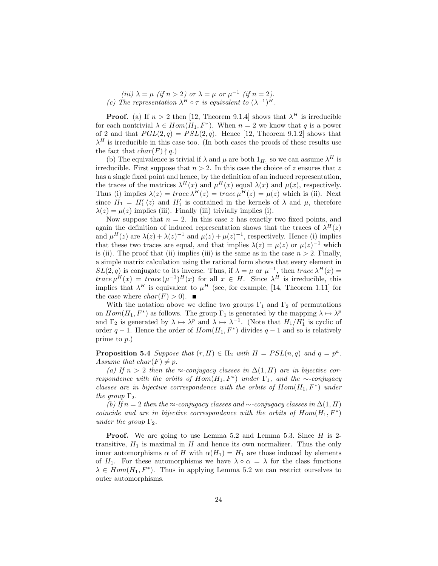(*iii*) 
$$
\lambda = \mu
$$
 (*if*  $n > 2$ ) or  $\lambda = \mu$  or  $\mu^{-1}$  (*if*  $n = 2$ ).  
(*c*) The representation  $\lambda^H \circ \tau$  is equivalent to  $(\lambda^{-1})^H$ .

**Proof.** (a) If  $n > 2$  then [12, Theorem 9.1.4] shows that  $\lambda^H$  is irreducible for each nontrivial  $\lambda \in Hom(H_1, F^*)$ . When  $n = 2$  we know that q is a power of 2 and that  $PGL(2,q) = PSL(2,q)$ . Hence [12, Theorem 9.1.2] shows that  $\lambda^H$  is irreducible in this case too. (In both cases the proofs of these results use the fact that  $char(F) \nmid q$ .

(b) The equivalence is trivial if  $\lambda$  and  $\mu$  are both  $1_{H_1}$  so we can assume  $\lambda^H$  is irreducible. First suppose that  $n > 2$ . In this case the choice of z ensures that z has a single fixed point and hence, by the definition of an induced representation, the traces of the matrices  $\lambda^H(x)$  and  $\mu^H(x)$  equal  $\lambda(x)$  and  $\mu(x)$ , respectively. Thus (i) implies  $\lambda(z) = trace \lambda^H(z) = trace \mu^H(z) = \mu(z)$  which is (ii). Next since  $H_1 = H_1' \langle z \rangle$  and  $H_1'$  is contained in the kernels of  $\lambda$  and  $\mu$ , therefore  $\lambda(z) = \mu(z)$  implies (iii). Finally (iii) trivially implies (i).

Now suppose that  $n = 2$ . In this case z has exactly two fixed points, and again the definition of induced representation shows that the traces of  $\lambda^H(z)$ and  $\mu^{H}(z)$  are  $\lambda(z) + \lambda(z)^{-1}$  and  $\mu(z) + \mu(z)^{-1}$ , respectively. Hence (i) implies that these two traces are equal, and that implies  $\lambda(z) = \mu(z)$  or  $\mu(z)^{-1}$  which is (ii). The proof that (ii) implies (iii) is the same as in the case  $n > 2$ . Finally, a simple matrix calculation using the rational form shows that every element in  $SL(2,q)$  is conjugate to its inverse. Thus, if  $\lambda = \mu$  or  $\mu^{-1}$ , then  $trace \lambda^{H}(x) =$ trace  $\mu^{H}(x) = trace (\mu^{-1})^{H}(x)$  for all  $x \in H$ . Since  $\lambda^{H}$  is irreducible, this implies that  $\lambda^H$  is equivalent to  $\mu^H$  (see, for example, [14, Theorem 1.11] for the case where  $char(F) > 0$ .

With the notation above we define two groups  $\Gamma_1$  and  $\Gamma_2$  of permutations on  $Hom(H_1, F^*)$  as follows. The group  $\Gamma_1$  is generated by the mapping  $\lambda \mapsto \lambda^p$ and  $\Gamma_2$  is generated by  $\lambda \mapsto \lambda^p$  and  $\lambda \mapsto \lambda^{-1}$ . (Note that  $H_1/H_1'$  is cyclic of order  $q-1$ . Hence the order of  $Hom(H_1, F^*)$  divides  $q-1$  and so is relatively prime to p.)

**Proposition 5.4** Suppose that  $(r, H) \in \Pi_2$  with  $H = PSL(n, q)$  and  $q = p^a$ . Assume that  $char(F) \neq p$ .

(a) If  $n > 2$  then the ≈-conjugacy classes in  $\Delta(1, H)$  are in bijective correspondence with the orbits of  $Hom(H_1, F^*)$  under  $\Gamma_1$ , and the ∼-conjugacy classes are in bijective correspondence with the orbits of  $Hom(H_1, F^*)$  under the group  $\Gamma_2$ .

(b) If  $n = 2$  then the ≈-conjugacy classes and ∼-conjugacy classes in  $\Delta(1, H)$ coincide and are in bijective correspondence with the orbits of  $Hom(H_1, F^*)$ under the group  $\Gamma_2$ .

**Proof.** We are going to use Lemma 5.2 and Lemma 5.3. Since  $H$  is 2transitive,  $H_1$  is maximal in  $H$  and hence its own normalizer. Thus the only inner automorphisms  $\alpha$  of H with  $\alpha(H_1) = H_1$  are those induced by elements of H<sub>1</sub>. For these automorphisms we have  $\lambda \circ \alpha = \lambda$  for the class functions  $\lambda \in Hom(H_1, F^*)$ . Thus in applying Lemma 5.2 we can restrict ourselves to outer automorphisms.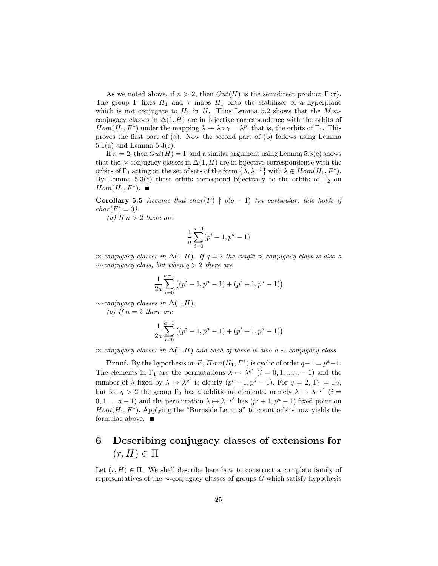As we noted above, if  $n > 2$ , then  $Out(H)$  is the semidirect product  $\Gamma(\tau)$ . The group  $\Gamma$  fixes  $H_1$  and  $\tau$  maps  $H_1$  onto the stabilizer of a hyperplane which is not conjugate to  $H_1$  in H. Thus Lemma 5.2 shows that the Monconjugacy classes in  $\Delta(1, H)$  are in bijective correspondence with the orbits of  $Hom(H_1, F^*)$  under the mapping  $\lambda \mapsto \lambda \circ \gamma = \lambda^p$ ; that is, the orbits of  $\Gamma_1$ . This proves the first part of (a). Now the second part of (b) follows using Lemma  $5.1(a)$  and Lemma  $5.3(c)$ .

If  $n = 2$ , then  $Out(H) = \Gamma$  and a similar argument using Lemma 5.3(c) shows that the ≈-conjugacy classes in  $\Delta(1, H)$  are in bijective correspondence with the orbits of  $\Gamma_1$  acting on the set of sets of the form  $\{\lambda, \lambda^{-1}\}\$  with  $\lambda \in Hom(H_1, F^*)$ . By Lemma 5.3(c) these orbits correspond bijectively to the orbits of  $\Gamma_2$  on  $Hom(H_1, F^*)$ .

Corollary 5.5 Assume that char(F)  $\nmid$  p(q - 1) (in particular, this holds if  $char(F) = 0.$ 

(a) If  $n > 2$  there are

$$
\frac{1}{a} \sum_{i=0}^{a-1} (p^i - 1, p^a - 1)
$$

 $\approx$ -conjugacy classes in  $\Delta(1, H)$ . If  $q = 2$  the single  $\approx$ -conjugacy class is also a  $\sim$ -conjugacy class, but when  $q > 2$  there are

$$
\frac{1}{2a} \sum_{i=0}^{a-1} ((p^i - 1, p^a - 1) + (p^i + 1, p^a - 1))
$$

 $\sim$ -conjugacy classes in  $\Delta(1, H)$ .

(b) If  $n=2$  there are

$$
\frac{1}{2a} \sum_{i=0}^{a-1} ((p^i - 1, p^a - 1) + (p^i + 1, p^a - 1))
$$

 $\approx$ -conjugacy classes in  $\Delta(1, H)$  and each of these is also a ∼-conjugacy class.

**Proof.** By the hypothesis on F,  $Hom(H_1, F^*)$  is cyclic of order  $q-1 = p^a-1$ . The elements in  $\Gamma_1$  are the permutations  $\lambda \mapsto \lambda^{p^i}$   $(i = 0, 1, ..., a-1)$  and the number of  $\lambda$  fixed by  $\lambda \mapsto {\lambda}^{p^i}$  is clearly  $(p^i-1, p^a-1)$ . For  $q=2$ ,  $\Gamma_1=\Gamma_2$ , but for  $q > 2$  the group  $\Gamma_2$  has a additional elements, namely  $\lambda \mapsto \lambda^{-p^i}$   $(i =$  $(0, 1, ..., a-1)$  and the permutation  $\lambda \mapsto \lambda^{-p^i}$  has  $(p^i + 1, p^a - 1)$  fixed point on  $Hom(H_1, F^*)$ . Applying the "Burnside Lemma" to count orbits now yields the formulae above.

## 6 Describing conjugacy classes of extensions for  $(r, H) \in \Pi$

Let  $(r, H) \in \Pi$ . We shall describe here how to construct a complete family of representatives of the  $\sim$ -conjugacy classes of groups G which satisfy hypothesis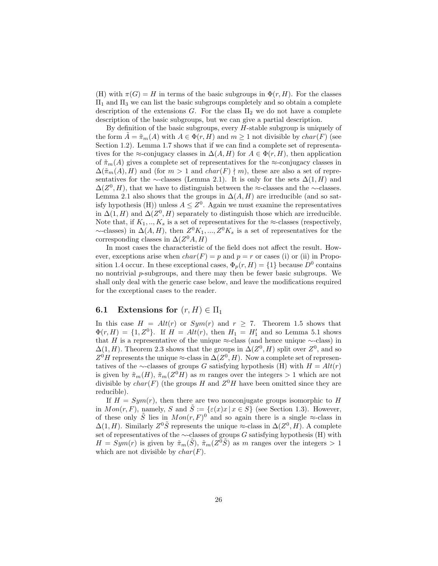(H) with  $\pi(G) = H$  in terms of the basic subgroups in  $\Phi(r, H)$ . For the classes  $\Pi_1$  and  $\Pi_3$  we can list the basic subgroups completely and so obtain a complete description of the extensions G. For the class  $\Pi_2$  we do not have a complete description of the basic subgroups, but we can give a partial description.

By definition of the basic subgroups, every  $H$ -stable subgroup is uniquely of the form  $A = \tilde{\pi}_m(A)$  with  $A \in \Phi(r, H)$  and  $m \geq 1$  not divisible by  $char(F)$  (see Section 1.2). Lemma 1.7 shows that if we can find a complete set of representatives for the ≈-conjugacy classes in  $\Delta(A, H)$  for  $A \in \Phi(r, H)$ , then application of  $\tilde{\pi}_m(A)$  gives a complete set of representatives for the ≈-conjugacy classes in  $\Delta(\tilde{\pi}_m(A), H)$  and (for  $m > 1$  and  $char(F) \nmid m$ ), these are also a set of representatives for the ∼-classes (Lemma 2.1). It is only for the sets  $\Delta(1, H)$  and  $\Delta(Z^0, H)$ , that we have to distinguish between the ≈-classes and the ∼-classes. Lemma 2.1 also shows that the groups in  $\Delta(A, H)$  are irreducible (and so satisfy hypothesis (H)) unless  $A \leq Z^0$ . Again we must examine the representatives in  $\Delta(1, H)$  and  $\Delta(Z^0, H)$  separately to distinguish those which are irreducible. Note that, if  $K_1, ..., K_s$  is a set of representatives for the ≈-classes (respectively,  $\sim$ -classes) in  $\Delta(A, H)$ , then  $Z^0 K_1, ..., Z^0 K_s$  is a set of representatives for the corresponding classes in  $\Delta(Z^0A, H)$ 

In most cases the characteristic of the field does not affect the result. However, exceptions arise when  $char(F) = p$  and  $p = r$  or cases (i) or (ii) in Proposition 1.4 occur. In these exceptional cases,  $\Phi_p(r, H) = \{1\}$  because  $D^0$  contains no nontrivial  $p$ -subgroups, and there may then be fewer basic subgroups. We shall only deal with the generic case below, and leave the modifications required for the exceptional cases to the reader.

## 6.1 Extensions for  $(r, H) \in \Pi_1$

In this case  $H = Alt(r)$  or  $Sym(r)$  and  $r \ge 7$ . Theorem 1.5 shows that  $\Phi(r, H) = \{1, Z^0\}$ . If  $H = Alt(r)$ , then  $H_1 = H'_1$  and so Lemma 5.1 shows that H is a representative of the unique  $\approx$ -class (and hence unique  $\sim$ -class) in  $\Delta(1, H)$ . Theorem 2.3 shows that the groups in  $\Delta(Z^0, H)$  split over  $Z^0$ , and so  $Z^0H$  represents the unique  $\approx$ -class in  $\Delta(Z^0,H)$ . Now a complete set of representatives of the ∼-classes of groups G satisfying hypothesis (H) with  $H = Alt(r)$ is given by  $\tilde{\pi}_m(H)$ ,  $\tilde{\pi}_m(Z^0H)$  as m ranges over the integers  $> 1$  which are not divisible by  $char(F)$  (the groups H and  $Z^0H$  have been omitted since they are reducible).

If  $H = Sym(r)$ , then there are two nonconjugate groups isomorphic to H in  $Mon(r, F)$ , namely, S and  $\tilde{S} := \{\varepsilon(x)x \mid x \in S\}$  (see Section 1.3). However, of these only  $\tilde{S}$  lies in  $Mon(r, F)^{0}$  and so again there is a single  $\approx$ -class in  $\Delta(1, H)$ . Similarly  $Z^0 \tilde{S}$  represents the unique ≈-class in  $\Delta(Z^0, H)$ . A complete set of representatives of the  $\sim$ -classes of groups G satisfying hypothesis (H) with  $H = Sym(r)$  is given by  $\tilde{\pi}_m(\tilde{S}), \tilde{\pi}_m(Z^0 \tilde{S})$  as m ranges over the integers > 1 which are not divisible by  $char(F)$ .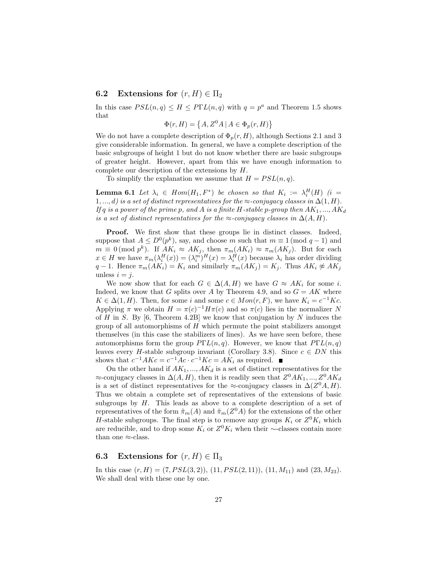## 6.2 Extensions for  $(r, H) \in \Pi_2$

In this case  $PSL(n,q) \leq H \leq P\Gamma L(n,q)$  with  $q = p^a$  and Theorem 1.5 shows that

$$
\Phi(r, H) = \left\{ A, Z^0 A \mid A \in \Phi_p(r, H) \right\}
$$

We do not have a complete description of  $\Phi_p(r, H)$ , although Sections 2.1 and 3 give considerable information. In general, we have a complete description of the basic subgroups of height 1 but do not know whether there are basic subgroups of greater height. However, apart from this we have enough information to complete our description of the extensions by H.

To simplify the explanation we assume that  $H = PSL(n, q)$ .

**Lemma 6.1** Let  $\lambda_i \in Hom(H_1, F^*)$  be chosen so that  $K_i := \lambda_i^H(H)$  (i =  $1, ..., d$ ) is a set of distinct representatives for the  $\approx$ -conjugacy classes in  $\Delta(1, H)$ . If q is a power of the prime p, and A is a finite H-stable p-group then  $AK_1, ..., AK_d$ is a set of distinct representatives for the  $\approx$ -conjugacy classes in  $\Delta(A, H)$ .

Proof. We first show that these groups lie in distinct classes. Indeed, suppose that  $A \leq D^{0}(p^{k})$ , say, and choose m such that  $m \equiv 1 \pmod{q-1}$  and  $m \equiv 0 \pmod{p^k}$ . If  $AK_i \approx AK_j$ , then  $\pi_m(AK_i) \approx \pi_m(AK_j)$ . But for each  $x \in H$  we have  $\pi_m(\lambda_i^H(x)) = (\lambda_i^m)^H(x) = \lambda_i^H(x)$  because  $\lambda_i$  has order dividing q − 1. Hence  $\pi_m(AK_i) = K_i$  and similarly  $\pi_m(AK_j) = K_j$ . Thus  $AK_i \not\approx AK_j$ unless  $i = j$ .

We now show that for each  $G \in \Delta(A, H)$  we have  $G \approx AK_i$  for some i. Indeed, we know that G splits over A by Theorem 4.9, and so  $G = AK$  where  $K \in \Delta(1, H)$ . Then, for some i and some  $c \in Mon(r, F)$ , we have  $K_i = c^{-1}Kc$ . Applying  $\pi$  we obtain  $H = \pi(c)^{-1} H \pi(c)$  and so  $\pi(c)$  lies in the normalizer N of H in S. By [6, Theorem 4.2B] we know that conjugation by N induces the group of all automorphisms of  $H$  which permute the point stabilizers amongst themselves (in this case the stabilizers of lines). As we have seen before, these automorphisms form the group  $P\Gamma\mathcal{L}(n,q)$ . However, we know that  $P\Gamma\mathcal{L}(n,q)$ leaves every *H*-stable subgroup invariant (Corollary 3.8). Since  $c \in DN$  this shows that  $c^{-1}AKc = c^{-1}Ac \cdot c^{-1}Kc = AK_i$  as required.

On the other hand if  $AK_1, ..., AK_d$  is a set of distinct representatives for the  $\approx$ -conjugacy classes in  $\Delta(A, H)$ , then it is readily seen that  $Z^0 AK_1, ..., Z^0AK_d$ is a set of distinct representatives for the  $\approx$ -conjugacy classes in  $\Delta(Z^0A, H)$ . Thus we obtain a complete set of representatives of the extensions of basic subgroups by  $H$ . This leads as above to a complete description of a set of representatives of the form  $\tilde{\pi}_m(A)$  and  $\tilde{\pi}_m(Z^0A)$  for the extensions of the other H-stable subgroups. The final step is to remove any groups  $K_i$  or  $Z^0 K_i$  which are reducible, and to drop some  $K_i$  or  $Z^0 K_i$  when their ∼-classes contain more than one  $\approx$ -class.

## 6.3 Extensions for  $(r, H) \in \Pi_3$

In this case  $(r, H) = (7, PSL(3, 2)), (11, PSL(2, 11)), (11, M_{11})$  and  $(23, M_{23})$ . We shall deal with these one by one.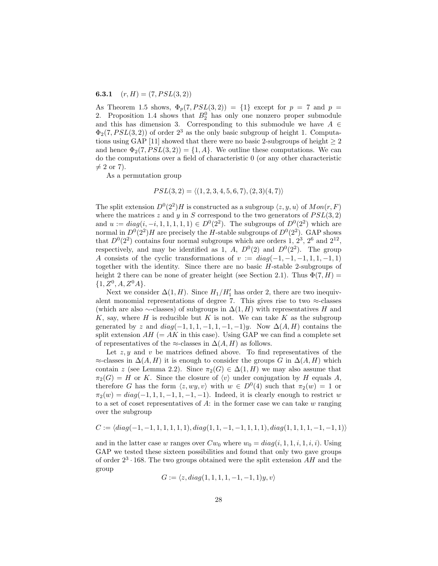#### **6.3.1**  $(r, H) = (7, PSL(3, 2))$

As Theorem 1.5 shows,  $\Phi_p(7, PSL(3, 2)) = \{1\}$  except for  $p = 7$  and  $p =$ 2. Proposition 1.4 shows that  $B_2^0$  has only one nonzero proper submodule and this has dimension 3. Corresponding to this submodule we have  $A \in$  $\Phi_2(7,PSL(3,2))$  of order  $2^3$  as the only basic subgroup of height 1. Computations using GAP [11] showed that there were no basic 2-subgroups of height  $\geq 2$ and hence  $\Phi_2(7, PSL(3, 2)) = \{1, A\}$ . We outline these computations. We can do the computations over a field of characteristic 0 (or any other characteristic  $\neq 2$  or 7).

As a permutation group

$$
PSL(3,2) = \langle (1,2,3,4,5,6,7), (2,3)(4,7) \rangle
$$

The split extension  $D^0(2^2)H$  is constructed as a subgroup  $\langle z, y, u \rangle$  of  $Mon(r, F)$ where the matrices z and y in S correspond to the two generators of  $PSL(3, 2)$ and  $u := diag(i, -i, 1, 1, 1, 1, 1) \in D^{0}(2^{2})$ . The subgroups of  $D^{0}(2^{2})$  which are normal in  $D^{0}(2^{2})H$  are precisely the H-stable subgroups of  $D^{0}(2^{2})$ . GAP shows that  $D^{0}(2^{2})$  contains four normal subgroups which are orders 1,  $2^{3}$ ,  $2^{6}$  and  $2^{12}$ , respectively, and may be identified as 1, A,  $D^{0}(2)$  and  $D^{0}(2^{2})$ . The group A consists of the cyclic transformations of  $v := diag(-1, -1, -1, 1, 1, -1, 1)$ together with the identity. Since there are no basic  $H$ -stable 2-subgroups of height 2 there can be none of greater height (see Section 2.1). Thus  $\Phi(7, H) =$  ${1, Z^0, A, Z^0A}.$ 

Next we consider  $\Delta(1, H)$ . Since  $H_1/H_1'$  has order 2, there are two inequivalent monomial representations of degree 7. This gives rise to two  $\approx$ -classes (which are also  $\sim$ -classes) of subgroups in  $\Delta(1, H)$  with representatives H and  $K$ , say, where  $H$  is reducible but  $K$  is not. We can take  $K$  as the subgroup generated by z and  $diag(-1, 1, 1, -1, 1, -1, -1)y$ . Now  $\Delta(A, H)$  contains the split extension  $AH (= AK$  in this case). Using GAP we can find a complete set of representatives of the ≈-classes in  $\Delta(A, H)$  as follows.

Let  $z, y$  and v be matrices defined above. To find representatives of the  $\approx$ -classes in  $\Delta(A, H)$  it is enough to consider the groups G in  $\Delta(A, H)$  which contain z (see Lemma 2.2). Since  $\pi_2(G) \in \Delta(1, H)$  we may also assume that  $\pi_2(G) = H$  or K. Since the closure of  $\langle v \rangle$  under conjugation by H equals A, therefore G has the form  $\langle z, wy, v \rangle$  with  $w \in D^0(4)$  such that  $\pi_2(w) = 1$  or  $\pi_2(w) = diag(-1, 1, 1, -1, 1, -1, -1)$ . Indeed, it is clearly enough to restrict w to a set of coset representatives of A: in the former case we can take  $w$  ranging over the subgroup

$$
C := \langle diag(-1,-1,1,1,1,1,1), diag(1,1,-1,-1,1,1,1), diag(1,1,1,1,-1,-1,1) \rangle
$$

and in the latter case w ranges over  $Cw_0$  where  $w_0 = diag(i, 1, 1, i, 1, i, i)$ . Using GAP we tested these sixteen possibilities and found that only two gave groups of order  $2^3 \cdot 168$ . The two groups obtained were the split extension AH and the group

$$
G := \langle z, diag(1, 1, 1, 1, -1, -1, 1)y, v \rangle
$$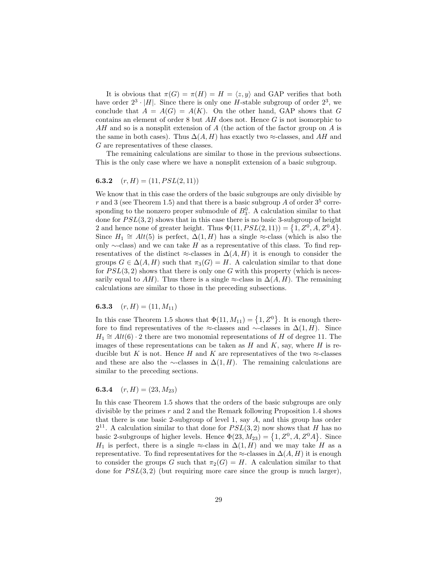It is obvious that  $\pi(G) = \pi(H) = H = \langle z, y \rangle$  and GAP verifies that both have order  $2^3 \cdot |H|$ . Since there is only one H-stable subgroup of order  $2^3$ , we conclude that  $A = A(G) = A(K)$ . On the other hand, GAP shows that G contains an element of order 8 but AH does not. Hence G is not isomorphic to AH and so is a nonsplit extension of A (the action of the factor group on A is the same in both cases). Thus  $\Delta(A, H)$  has exactly two ≈-classes, and AH and G are representatives of these classes.

The remaining calculations are similar to those in the previous subsections. This is the only case where we have a nonsplit extension of a basic subgroup.

#### **6.3.2**  $(r, H) = (11, PSL(2, 11))$

We know that in this case the orders of the basic subgroups are only divisible by r and 3 (see Theorem 1.5) and that there is a basic subgroup  $A$  of order  $3^5$  corresponding to the nonzero proper submodule of  $B_3^0$ . A calculation similar to that done for  $PSL(3, 2)$  shows that in this case there is no basic 3-subgroup of height 2 and hence none of greater height. Thus  $\Phi(11, PSL(2, 11)) = \{1, Z^0, A, Z^0A\}.$ Since  $H_1 \cong Alt(5)$  is perfect,  $\Delta(1, H)$  has a single ≈-class (which is also the only  $\sim$ -class) and we can take H as a representative of this class. To find representatives of the distinct  $\approx$ -classes in  $\Delta(A, H)$  it is enough to consider the groups  $G \in \Delta(A, H)$  such that  $\pi_3(G) = H$ . A calculation similar to that done for  $PSL(3, 2)$  shows that there is only one G with this property (which is necessarily equal to  $AH$ ). Thus there is a single  $\approx$ -class in  $\Delta(A, H)$ . The remaining calculations are similar to those in the preceding subsections.

6.3.3  $(r, H) = (11, M_{11})$ 

In this case Theorem 1.5 shows that  $\Phi(11, M_{11}) = \{1, Z^0\}$ . It is enough therefore to find representatives of the ≈-classes and ∼-classes in  $\Delta(1, H)$ . Since  $H_1 \cong Alt(6) \cdot 2$  there are two monomial representations of H of degree 11. The images of these representations can be taken as  $H$  and  $K$ , say, where  $H$  is reducible but K is not. Hence H and K are representatives of the two  $\approx$ -classes and these are also the  $\sim$ -classes in  $\Delta(1, H)$ . The remaining calculations are similar to the preceding sections.

6.3.4  $(r, H) = (23, M_{23})$ 

In this case Theorem 1.5 shows that the orders of the basic subgroups are only divisible by the primes r and 2 and the Remark following Proposition 1.4 shows that there is one basic 2-subgroup of level 1, say A, and this group has order  $2^{11}$ . A calculation similar to that done for  $PSL(3, 2)$  now shows that H has no basic 2-subgroups of higher levels. Hence  $\Phi(23, M_{23}) = \{1, Z^0, A, Z^0A\}$ . Since H<sub>1</sub> is perfect, there is a single  $\approx$ -class in  $\Delta(1, H)$  and we may take H as a representative. To find representatives for the  $\approx$ -classes in  $\Delta(A, H)$  it is enough to consider the groups G such that  $\pi_2(G) = H$ . A calculation similar to that done for  $PSL(3, 2)$  (but requiring more care since the group is much larger),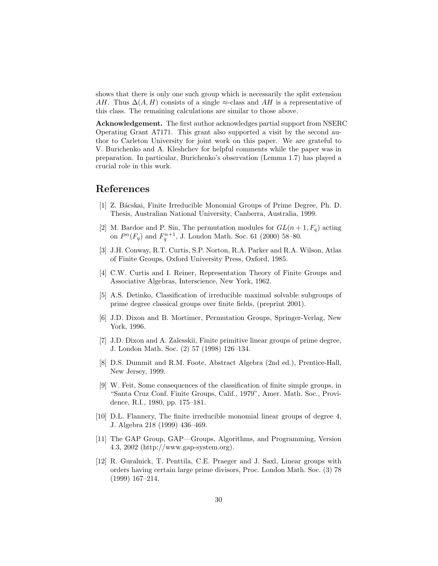shows that there is only one such group which is necessarily the split extension AH. Thus  $\Delta(A, H)$  consists of a single ≈-class and AH is a representative of this class. The remaining calculations are similar to those above.

Acknowledgement. The first author acknowledges partial support from NSERC Operating Grant A7171. This grant also supported a visit by the second author to Carleton University for joint work on this paper. We are grateful to V. Burichenko and A. Kleshchev for helpful comments while the paper was in preparation. In particular, Burichenko's observation (Lemma 1.7) has played a crucial role in this work.

## References

- [1] Z. B´acskai, Finite Irreducible Monomial Groups of Prime Degree, Ph. D. Thesis, Australian National University, Canberra, Australia, 1999.
- [2] M. Bardoe and P. Sin, The permutation modules for  $GL(n+1, F_q)$  acting on  $P^{n}(F_q)$  and  $F_q^{n+1}$ , J. London Math. Soc. 61 (2000) 58–80.
- [3] J.H. Conway, R.T. Curtis, S.P. Norton, R.A. Parker and R.A. Wilson, Atlas of Finite Groups, Oxford University Press, Oxford, 1985.
- [4] C.W. Curtis and I. Reiner, Representation Theory of Finite Groups and Associative Algebras, Interscience, New York, 1962.
- [5] A.S. Detinko, Classification of irreducible maximal solvable subgroups of prime degree classical groups over finite fields, (preprint 2001).
- [6] J.D. Dixon and B. Mortimer, Permutation Groups, Springer-Verlag, New York, 1996.
- [7] J.D. Dixon and A. Zalesskii, Finite primitive linear groups of prime degree, J. London Math. Soc. (2) 57 (1998) 126–134.
- [8] D.S. Dummit and R.M. Foote, Abstract Algebra (2nd ed.), Prentice-Hall, New Jersey, 1999.
- [9] W. Feit, Some consequences of the classification of finite simple groups, in "Santa Cruz Conf. Finite Groups, Calif., 1979", Amer. Math. Soc., Providence, R.I., 1980, pp. 175–181.
- [10] D.L. Flannery, The finite irreducible monomial linear groups of degree 4, J. Algebra 218 (1999) 436–469.
- [11] The GAP Group, GAP—Groups, Algorithms, and Programming, Version 4.3, 2002 (http://www.gap-system.org).
- [12] R. Guralnick, T. Penttila, C.E. Praeger and J. Saxl, Linear groups with orders having certain large prime divisors, Proc. London Math. Soc. (3) 78 (1999) 167–214.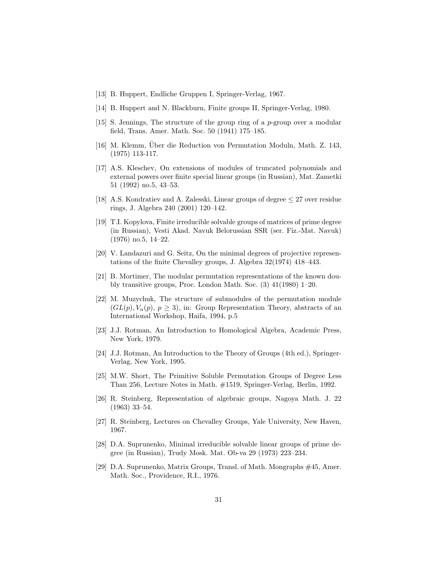- [13] B. Huppert, Endliche Gruppen I, Springer-Verlag, 1967.
- [14] B. Huppert and N. Blackburn, Finite groups II, Springer-Verlag, 1980.
- [15] S. Jennings, The structure of the group ring of a p-group over a modular field, Trans. Amer. Math. Soc. 50 (1941) 175–185.
- [16] M. Klemm, Über die Reduction von Permutation Moduln, Math. Z. 143, (1975) 113-117.
- [17] A.S. Kleschev, On extensions of modules of truncated polynomials and external powers over finite special linear groups (in Russian), Mat. Zametki 51 (1992) no.5, 43–53.
- [18] A.S. Kondratiev and A. Zalesski, Linear groups of degree  $\leq$  27 over residue rings, J. Algebra 240 (2001) 120–142.
- [19] T.I. Kopylova, Finite irreducible solvable groups of matrices of prime degree (in Russian), Vesti Akad. Navuk Belorussian SSR (ser. Fiz.-Mat. Navuk) (1976) no.5, 14–22.
- [20] V. Landazuri and G. Seitz, On the minimal degrees of projective representations of the finite Chevalley groups, J. Algebra 32(1974) 418–443.
- [21] B. Mortimer, The modular permutation representations of the known doubly transitive groups, Proc. London Math. Soc. (3) 41(1980) 1–20.
- [22] M. Muzychuk, The structure of submodules of the permutation module  $(GL(p), V_n(p), p > 3)$ , in: Group Representation Theory, abstracts of an International Workshop, Haifa, 1994, p.5
- [23] J.J. Rotman, An Introduction to Homological Algebra, Academic Press, New York, 1979.
- [24] J.J. Rotman, An Introduction to the Theory of Groups (4th ed.), Springer-Verlag, New York, 1995.
- [25] M.W. Short, The Primitive Soluble Permutation Groups of Degree Less Than 256, Lecture Notes in Math. #1519, Springer-Verlag, Berlin, 1992.
- [26] R. Steinberg, Representation of algebraic groups, Nagoya Math. J. 22 (1963) 33–54.
- [27] R. Steinberg, Lectures on Chevalley Groups, Yale University, New Haven, 1967.
- [28] D.A. Suprunenko, Minimal irreducible solvable linear groups of prime degree (in Russian), Trudy Mosk. Mat. Ob-va 29 (1973) 223–234.
- [29] D.A. Suprunenko, Matrix Groups, Transl. of Math. Mongraphs #45, Amer. Math. Soc., Providence, R.I., 1976.